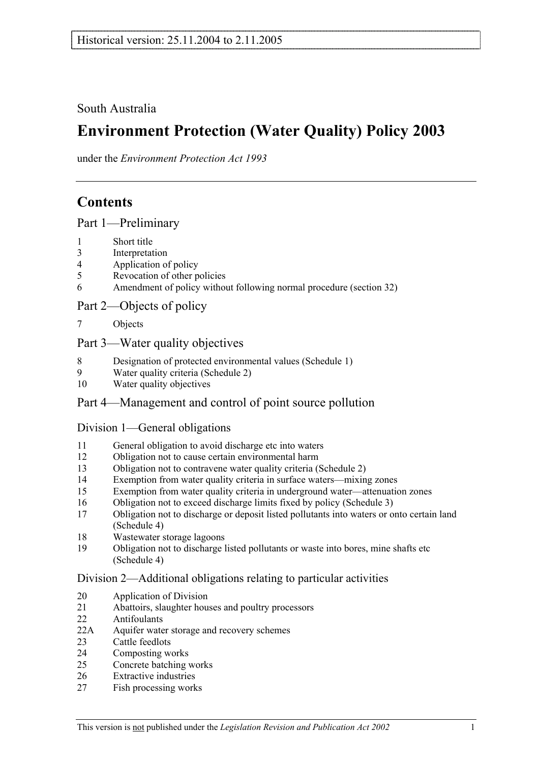South Australia

# **Environment Protection (Water Quality) Policy 2003**

under the *Environment Protection Act 1993*

## **Contents**

Part 1—Preliminary

- 1 Short title
- 3 Interpretation
- 4 Application of policy
- 5 Revocation of other policies
- 6 Amendment of policy without following normal procedure (section 32)

## Part 2—Objects of policy

7 Objects

## Part 3—Water quality objectives

- 8 Designation of protected environmental values (Schedule 1)<br>9 Water quality criteria (Schedule 2)
- Water quality criteria (Schedule 2)
- 10 Water quality objectives

## Part 4—Management and control of point source pollution

## Division 1—General obligations

- 11 General obligation to avoid discharge etc into waters
- 12 Obligation not to cause certain environmental harm
- 13 Obligation not to contravene water quality criteria (Schedule 2)
- 14 Exemption from water quality criteria in surface waters—mixing zones
- 15 Exemption from water quality criteria in underground water—attenuation zones
- 16 Obligation not to exceed discharge limits fixed by policy (Schedule 3)
- 17 Obligation not to discharge or deposit listed pollutants into waters or onto certain land (Schedule 4)
- 18 Wastewater storage lagoons
- 19 Obligation not to discharge listed pollutants or waste into bores, mine shafts etc (Schedule 4)

## Division 2—Additional obligations relating to particular activities

- 20 Application of Division
- 21 Abattoirs, slaughter houses and poultry processors
- 22 Antifoulants
- 22A Aquifer water storage and recovery schemes
- 23 Cattle feedlots
- 24 Composting works
- 25 Concrete batching works
- 26 Extractive industries
- 27 Fish processing works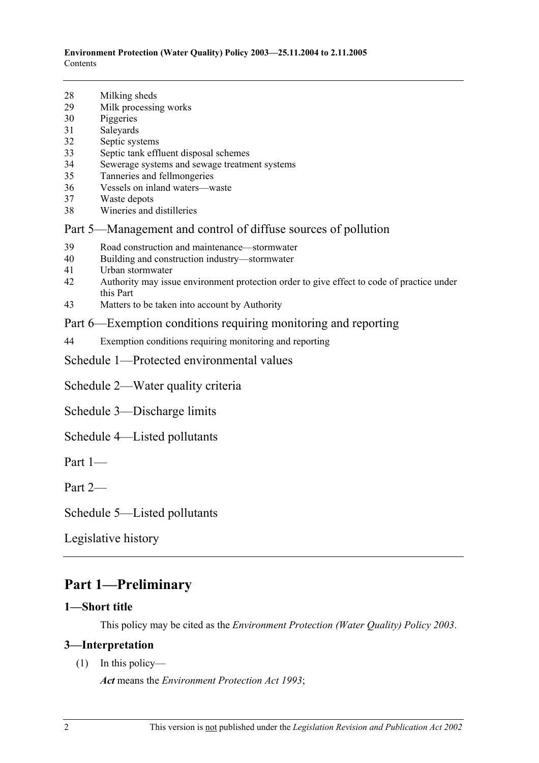- 28 Milking sheds
- 29 Milk processing works
- 30 Piggeries
- 31 Saleyards
- 32 Septic systems
- 33 Septic tank effluent disposal schemes
- 34 Sewerage systems and sewage treatment systems
- 35 Tanneries and fellmongeries
- 36 Vessels on inland waters—waste
- 37 Waste depots
- 38 Wineries and distilleries

## Part 5—Management and control of diffuse sources of pollution

- 39 Road construction and maintenance—stormwater
- 40 Building and construction industry—stormwater
- 41 Urban stormwater
- 42 Authority may issue environment protection order to give effect to code of practice under this Part
- 43 Matters to be taken into account by Authority

## Part 6—Exemption conditions requiring monitoring and reporting

44 Exemption conditions requiring monitoring and reporting

Schedule 1—Protected environmental values

Schedule 2—Water quality criteria

Schedule 3—Discharge limits

Schedule 4—Listed pollutants

Part 1—

Part 2—

Schedule 5—Listed pollutants

Legislative history

## **Part 1—Preliminary**

## **1—Short title**

This policy may be cited as the *Environment Protection (Water Quality) Policy 2003*.

## **3—Interpretation**

(1) In this policy—

*Act* means the *Environment Protection Act 1993*;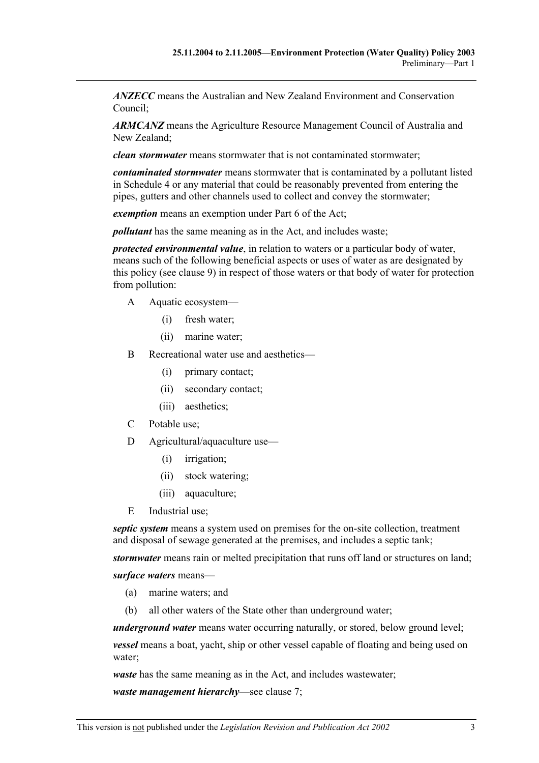*ANZECC* means the Australian and New Zealand Environment and Conservation Council;

*ARMCANZ* means the Agriculture Resource Management Council of Australia and New Zealand;

*clean stormwater* means stormwater that is not contaminated stormwater;

*contaminated stormwater* means stormwater that is contaminated by a pollutant listed in Schedule 4 or any material that could be reasonably prevented from entering the pipes, gutters and other channels used to collect and convey the stormwater;

*exemption* means an exemption under Part 6 of the Act;

*pollutant* has the same meaning as in the Act, and includes waste;

*protected environmental value*, in relation to waters or a particular body of water, means such of the following beneficial aspects or uses of water as are designated by this policy (see clause 9) in respect of those waters or that body of water for protection from pollution:

- A Aquatic ecosystem—
	- (i) fresh water;
	- (ii) marine water;
- B Recreational water use and aesthetics—
	- (i) primary contact;
	- (ii) secondary contact;
	- (iii) aesthetics;
- C Potable use;
- D Agricultural/aquaculture use—
	- (i) irrigation;
	- (ii) stock watering;
	- (iii) aquaculture;
- E Industrial use;

*septic system* means a system used on premises for the on-site collection, treatment and disposal of sewage generated at the premises, and includes a septic tank;

*stormwater* means rain or melted precipitation that runs off land or structures on land;

*surface waters* means—

- (a) marine waters; and
- (b) all other waters of the State other than underground water;

*underground water* means water occurring naturally, or stored, below ground level;

*vessel* means a boat, yacht, ship or other vessel capable of floating and being used on water;

*waste* has the same meaning as in the Act, and includes wastewater;

*waste management hierarchy*—see clause 7;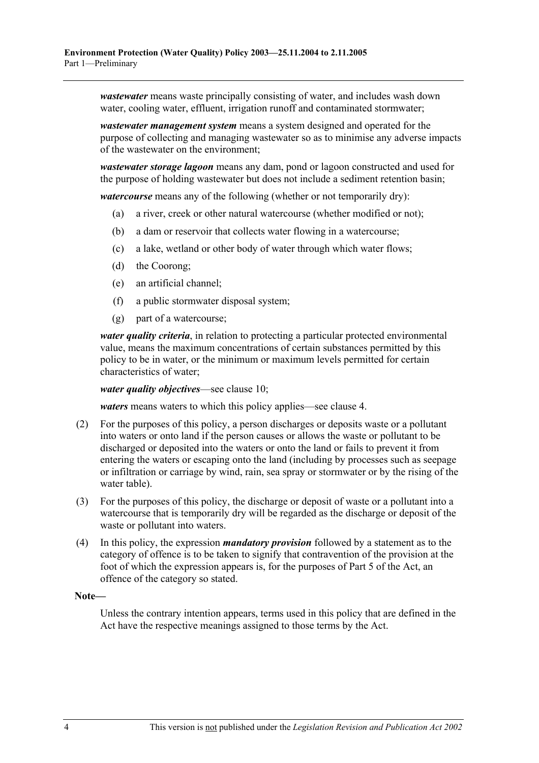*wastewater* means waste principally consisting of water, and includes wash down water, cooling water, effluent, irrigation runoff and contaminated stormwater;

*wastewater management system* means a system designed and operated for the purpose of collecting and managing wastewater so as to minimise any adverse impacts of the wastewater on the environment;

*wastewater storage lagoon* means any dam, pond or lagoon constructed and used for the purpose of holding wastewater but does not include a sediment retention basin;

*watercourse* means any of the following (whether or not temporarily dry):

- (a) a river, creek or other natural watercourse (whether modified or not);
- (b) a dam or reservoir that collects water flowing in a watercourse;
- (c) a lake, wetland or other body of water through which water flows;
- (d) the Coorong;
- (e) an artificial channel;
- (f) a public stormwater disposal system;
- (g) part of a watercourse;

*water quality criteria*, in relation to protecting a particular protected environmental value, means the maximum concentrations of certain substances permitted by this policy to be in water, or the minimum or maximum levels permitted for certain characteristics of water;

*water quality objectives*—see clause 10;

*waters* means waters to which this policy applies—see clause 4.

- (2) For the purposes of this policy, a person discharges or deposits waste or a pollutant into waters or onto land if the person causes or allows the waste or pollutant to be discharged or deposited into the waters or onto the land or fails to prevent it from entering the waters or escaping onto the land (including by processes such as seepage or infiltration or carriage by wind, rain, sea spray or stormwater or by the rising of the water table).
- (3) For the purposes of this policy, the discharge or deposit of waste or a pollutant into a watercourse that is temporarily dry will be regarded as the discharge or deposit of the waste or pollutant into waters.
- (4) In this policy, the expression *mandatory provision* followed by a statement as to the category of offence is to be taken to signify that contravention of the provision at the foot of which the expression appears is, for the purposes of Part 5 of the Act, an offence of the category so stated.

#### **Note—**

Unless the contrary intention appears, terms used in this policy that are defined in the Act have the respective meanings assigned to those terms by the Act.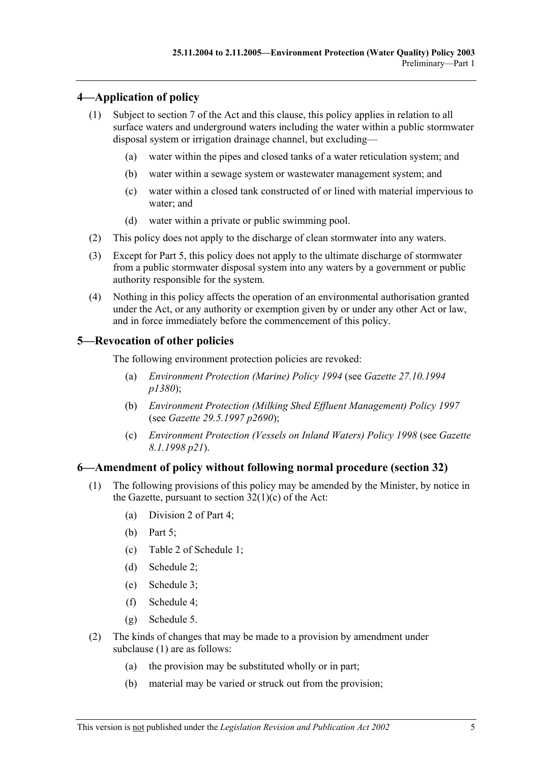## **4—Application of policy**

- (1) Subject to section 7 of the Act and this clause, this policy applies in relation to all surface waters and underground waters including the water within a public stormwater disposal system or irrigation drainage channel, but excluding—
	- (a) water within the pipes and closed tanks of a water reticulation system; and
	- (b) water within a sewage system or wastewater management system; and
	- (c) water within a closed tank constructed of or lined with material impervious to water; and
	- (d) water within a private or public swimming pool.
- (2) This policy does not apply to the discharge of clean stormwater into any waters.
- (3) Except for Part 5, this policy does not apply to the ultimate discharge of stormwater from a public stormwater disposal system into any waters by a government or public authority responsible for the system.
- (4) Nothing in this policy affects the operation of an environmental authorisation granted under the Act, or any authority or exemption given by or under any other Act or law, and in force immediately before the commencement of this policy.

## **5—Revocation of other policies**

The following environment protection policies are revoked:

- (a) *Environment Protection (Marine) Policy 1994* (see *Gazette 27.10.1994 p1380*);
- (b) *Environment Protection (Milking Shed Effluent Management) Policy 1997* (see *Gazette 29.5.1997 p2690*);
- (c) *Environment Protection (Vessels on Inland Waters) Policy 1998* (see *Gazette 8.1.1998 p21*).

## **6—Amendment of policy without following normal procedure (section 32)**

- (1) The following provisions of this policy may be amended by the Minister, by notice in the Gazette, pursuant to section  $32(1)(c)$  of the Act:
	- (a) Division 2 of Part 4;
	- (b) Part 5;
	- (c) Table 2 of Schedule 1;
	- (d) Schedule 2;
	- (e) Schedule 3;
	- (f) Schedule 4;
	- (g) Schedule 5.
- (2) The kinds of changes that may be made to a provision by amendment under subclause (1) are as follows:
	- (a) the provision may be substituted wholly or in part;
	- (b) material may be varied or struck out from the provision;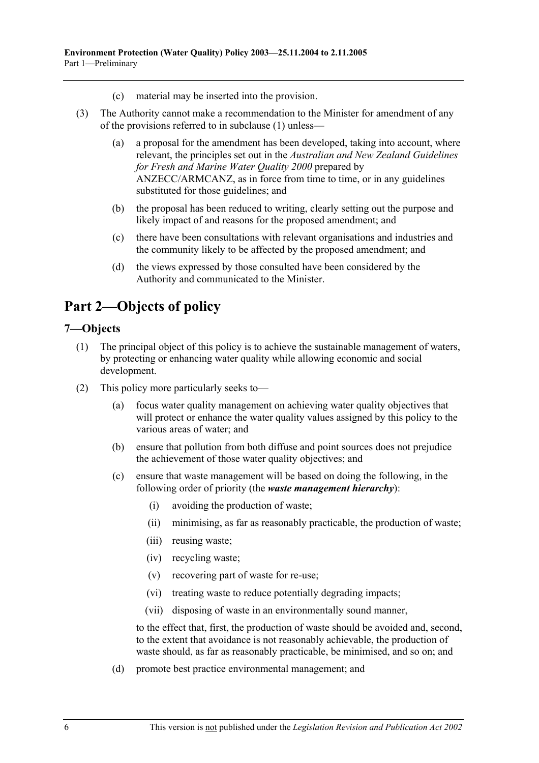- (c) material may be inserted into the provision.
- (3) The Authority cannot make a recommendation to the Minister for amendment of any of the provisions referred to in subclause (1) unless—
	- (a) a proposal for the amendment has been developed, taking into account, where relevant, the principles set out in the *Australian and New Zealand Guidelines for Fresh and Marine Water Quality 2000* prepared by ANZECC/ARMCANZ, as in force from time to time, or in any guidelines substituted for those guidelines; and
	- (b) the proposal has been reduced to writing, clearly setting out the purpose and likely impact of and reasons for the proposed amendment; and
	- (c) there have been consultations with relevant organisations and industries and the community likely to be affected by the proposed amendment; and
	- (d) the views expressed by those consulted have been considered by the Authority and communicated to the Minister.

## **Part 2—Objects of policy**

#### **7—Objects**

- (1) The principal object of this policy is to achieve the sustainable management of waters, by protecting or enhancing water quality while allowing economic and social development.
- (2) This policy more particularly seeks to—
	- (a) focus water quality management on achieving water quality objectives that will protect or enhance the water quality values assigned by this policy to the various areas of water; and
	- (b) ensure that pollution from both diffuse and point sources does not prejudice the achievement of those water quality objectives; and
	- (c) ensure that waste management will be based on doing the following, in the following order of priority (the *waste management hierarchy*):
		- (i) avoiding the production of waste;
		- (ii) minimising, as far as reasonably practicable, the production of waste;
		- (iii) reusing waste;
		- (iv) recycling waste;
		- (v) recovering part of waste for re-use;
		- (vi) treating waste to reduce potentially degrading impacts;
		- (vii) disposing of waste in an environmentally sound manner,

to the effect that, first, the production of waste should be avoided and, second, to the extent that avoidance is not reasonably achievable, the production of waste should, as far as reasonably practicable, be minimised, and so on; and

(d) promote best practice environmental management; and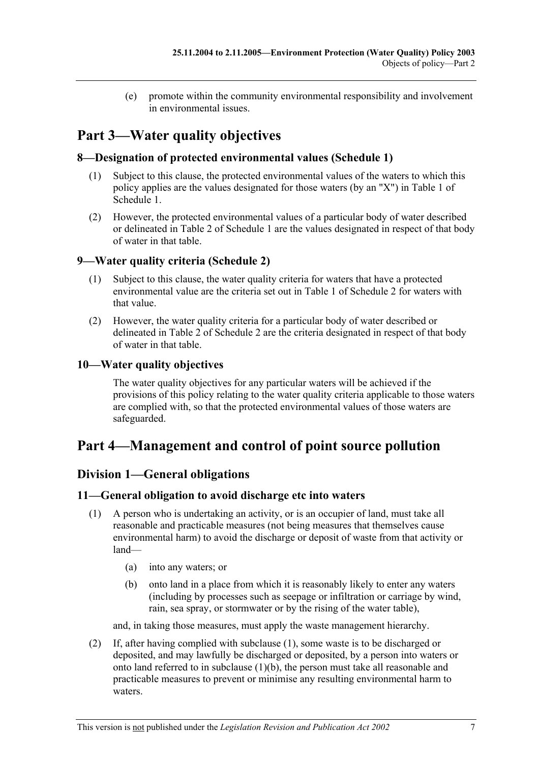(e) promote within the community environmental responsibility and involvement in environmental issues.

# **Part 3—Water quality objectives**

## **8—Designation of protected environmental values (Schedule 1)**

- (1) Subject to this clause, the protected environmental values of the waters to which this policy applies are the values designated for those waters (by an "X") in Table 1 of Schedule 1.
- (2) However, the protected environmental values of a particular body of water described or delineated in Table 2 of Schedule 1 are the values designated in respect of that body of water in that table.

## **9—Water quality criteria (Schedule 2)**

- (1) Subject to this clause, the water quality criteria for waters that have a protected environmental value are the criteria set out in Table 1 of Schedule 2 for waters with that value.
- (2) However, the water quality criteria for a particular body of water described or delineated in Table 2 of Schedule 2 are the criteria designated in respect of that body of water in that table.

## **10—Water quality objectives**

The water quality objectives for any particular waters will be achieved if the provisions of this policy relating to the water quality criteria applicable to those waters are complied with, so that the protected environmental values of those waters are safeguarded.

## **Part 4—Management and control of point source pollution**

## **Division 1—General obligations**

#### **11—General obligation to avoid discharge etc into waters**

- (1) A person who is undertaking an activity, or is an occupier of land, must take all reasonable and practicable measures (not being measures that themselves cause environmental harm) to avoid the discharge or deposit of waste from that activity or land—
	- (a) into any waters; or
	- (b) onto land in a place from which it is reasonably likely to enter any waters (including by processes such as seepage or infiltration or carriage by wind, rain, sea spray, or stormwater or by the rising of the water table),

and, in taking those measures, must apply the waste management hierarchy.

 (2) If, after having complied with subclause (1), some waste is to be discharged or deposited, and may lawfully be discharged or deposited, by a person into waters or onto land referred to in subclause (1)(b), the person must take all reasonable and practicable measures to prevent or minimise any resulting environmental harm to waters.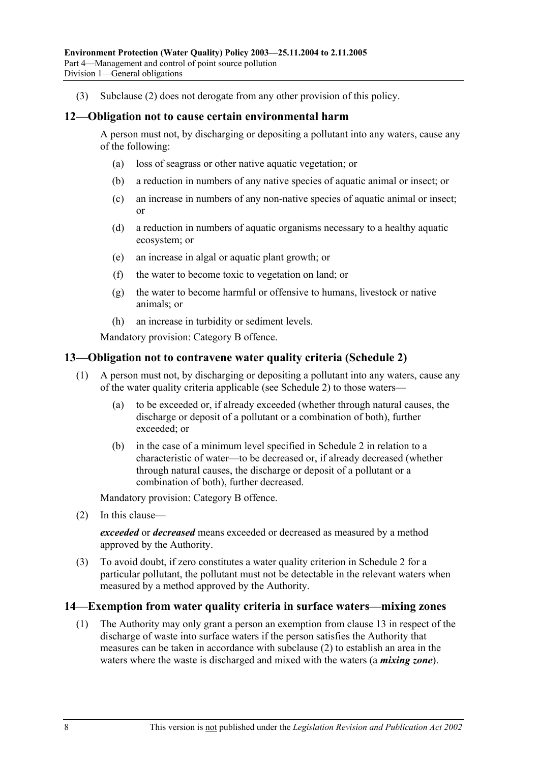(3) Subclause (2) does not derogate from any other provision of this policy.

#### **12—Obligation not to cause certain environmental harm**

A person must not, by discharging or depositing a pollutant into any waters, cause any of the following:

- (a) loss of seagrass or other native aquatic vegetation; or
- (b) a reduction in numbers of any native species of aquatic animal or insect; or
- (c) an increase in numbers of any non-native species of aquatic animal or insect; or
- (d) a reduction in numbers of aquatic organisms necessary to a healthy aquatic ecosystem; or
- (e) an increase in algal or aquatic plant growth; or
- (f) the water to become toxic to vegetation on land; or
- (g) the water to become harmful or offensive to humans, livestock or native animals; or
- (h) an increase in turbidity or sediment levels.

Mandatory provision: Category B offence.

#### **13—Obligation not to contravene water quality criteria (Schedule 2)**

- (1) A person must not, by discharging or depositing a pollutant into any waters, cause any of the water quality criteria applicable (see Schedule 2) to those waters—
	- (a) to be exceeded or, if already exceeded (whether through natural causes, the discharge or deposit of a pollutant or a combination of both), further exceeded; or
	- (b) in the case of a minimum level specified in Schedule 2 in relation to a characteristic of water—to be decreased or, if already decreased (whether through natural causes, the discharge or deposit of a pollutant or a combination of both), further decreased.

Mandatory provision: Category B offence.

(2) In this clause—

*exceeded* or *decreased* means exceeded or decreased as measured by a method approved by the Authority.

 (3) To avoid doubt, if zero constitutes a water quality criterion in Schedule 2 for a particular pollutant, the pollutant must not be detectable in the relevant waters when measured by a method approved by the Authority.

#### **14—Exemption from water quality criteria in surface waters—mixing zones**

 (1) The Authority may only grant a person an exemption from clause 13 in respect of the discharge of waste into surface waters if the person satisfies the Authority that measures can be taken in accordance with subclause (2) to establish an area in the waters where the waste is discharged and mixed with the waters (a *mixing zone*).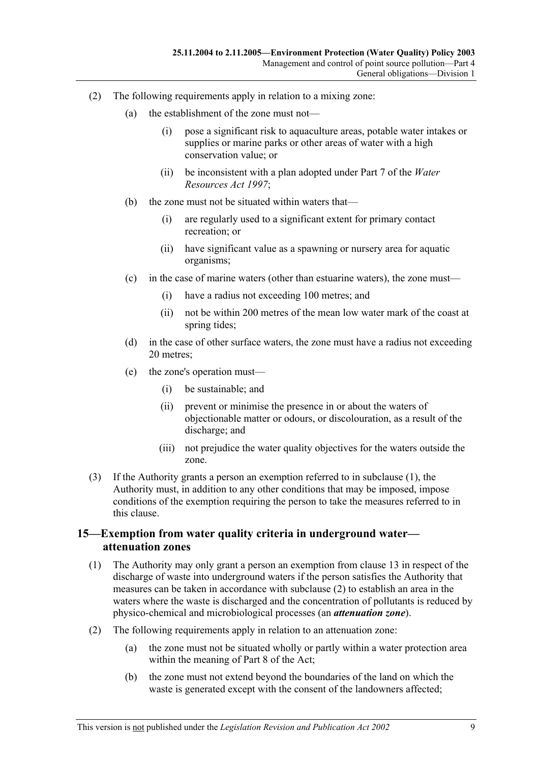- (2) The following requirements apply in relation to a mixing zone:
	- (a) the establishment of the zone must not—
		- (i) pose a significant risk to aquaculture areas, potable water intakes or supplies or marine parks or other areas of water with a high conservation value; or
		- (ii) be inconsistent with a plan adopted under Part 7 of the *Water Resources Act 1997*;
	- (b) the zone must not be situated within waters that—
		- (i) are regularly used to a significant extent for primary contact recreation; or
		- (ii) have significant value as a spawning or nursery area for aquatic organisms;
	- (c) in the case of marine waters (other than estuarine waters), the zone must—
		- (i) have a radius not exceeding 100 metres; and
		- (ii) not be within 200 metres of the mean low water mark of the coast at spring tides;
	- (d) in the case of other surface waters, the zone must have a radius not exceeding 20 metres;
	- (e) the zone's operation must—
		- (i) be sustainable; and
		- (ii) prevent or minimise the presence in or about the waters of objectionable matter or odours, or discolouration, as a result of the discharge; and
		- (iii) not prejudice the water quality objectives for the waters outside the zone.
- (3) If the Authority grants a person an exemption referred to in subclause (1), the Authority must, in addition to any other conditions that may be imposed, impose conditions of the exemption requiring the person to take the measures referred to in this clause.

### **15—Exemption from water quality criteria in underground water attenuation zones**

- (1) The Authority may only grant a person an exemption from clause 13 in respect of the discharge of waste into underground waters if the person satisfies the Authority that measures can be taken in accordance with subclause (2) to establish an area in the waters where the waste is discharged and the concentration of pollutants is reduced by physico-chemical and microbiological processes (an *attenuation zone*).
- (2) The following requirements apply in relation to an attenuation zone:
	- (a) the zone must not be situated wholly or partly within a water protection area within the meaning of Part 8 of the Act;
	- (b) the zone must not extend beyond the boundaries of the land on which the waste is generated except with the consent of the landowners affected: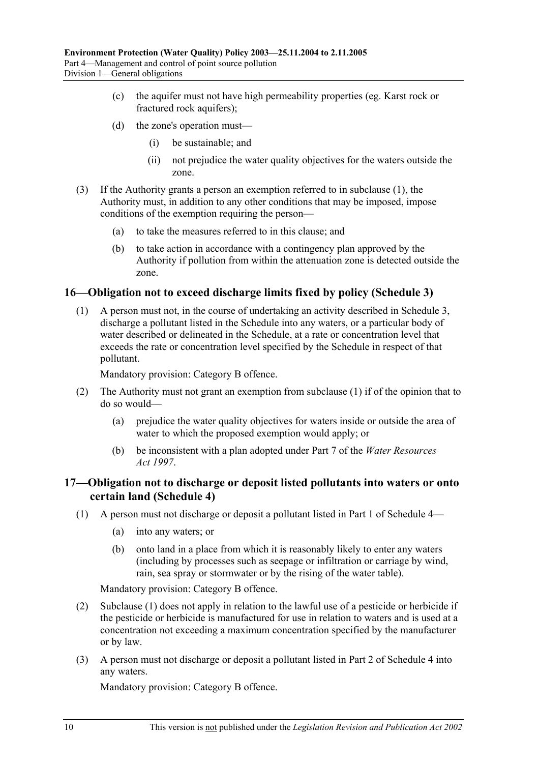- (c) the aquifer must not have high permeability properties (eg. Karst rock or fractured rock aquifers);
- (d) the zone's operation must—
	- (i) be sustainable; and
	- (ii) not prejudice the water quality objectives for the waters outside the zone.
- (3) If the Authority grants a person an exemption referred to in subclause (1), the Authority must, in addition to any other conditions that may be imposed, impose conditions of the exemption requiring the person—
	- (a) to take the measures referred to in this clause; and
	- (b) to take action in accordance with a contingency plan approved by the Authority if pollution from within the attenuation zone is detected outside the zone.

#### **16—Obligation not to exceed discharge limits fixed by policy (Schedule 3)**

 (1) A person must not, in the course of undertaking an activity described in Schedule 3, discharge a pollutant listed in the Schedule into any waters, or a particular body of water described or delineated in the Schedule, at a rate or concentration level that exceeds the rate or concentration level specified by the Schedule in respect of that pollutant.

Mandatory provision: Category B offence.

- (2) The Authority must not grant an exemption from subclause (1) if of the opinion that to do so would—
	- (a) prejudice the water quality objectives for waters inside or outside the area of water to which the proposed exemption would apply; or
	- (b) be inconsistent with a plan adopted under Part 7 of the *Water Resources Act 1997*.

#### **17—Obligation not to discharge or deposit listed pollutants into waters or onto certain land (Schedule 4)**

- (1) A person must not discharge or deposit a pollutant listed in Part 1 of Schedule 4—
	- (a) into any waters; or
	- (b) onto land in a place from which it is reasonably likely to enter any waters (including by processes such as seepage or infiltration or carriage by wind, rain, sea spray or stormwater or by the rising of the water table).

Mandatory provision: Category B offence.

- (2) Subclause (1) does not apply in relation to the lawful use of a pesticide or herbicide if the pesticide or herbicide is manufactured for use in relation to waters and is used at a concentration not exceeding a maximum concentration specified by the manufacturer or by law.
- (3) A person must not discharge or deposit a pollutant listed in Part 2 of Schedule 4 into any waters.

Mandatory provision: Category B offence.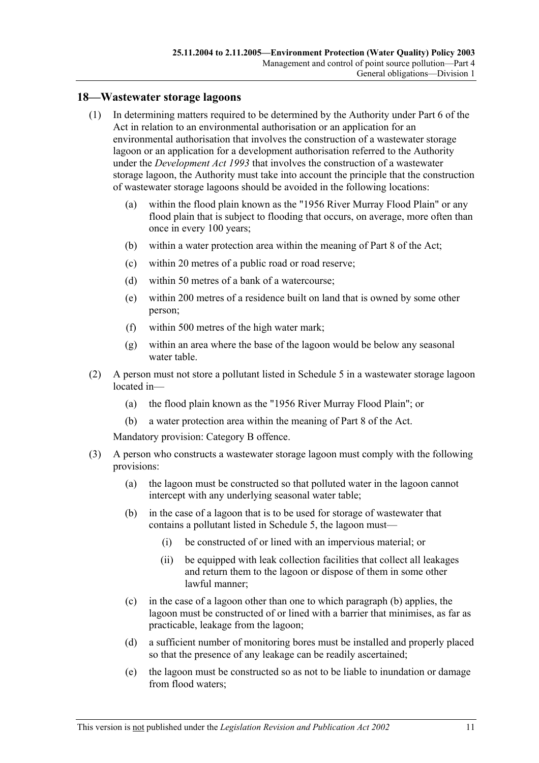#### **18—Wastewater storage lagoons**

- (1) In determining matters required to be determined by the Authority under Part 6 of the Act in relation to an environmental authorisation or an application for an environmental authorisation that involves the construction of a wastewater storage lagoon or an application for a development authorisation referred to the Authority under the *Development Act 1993* that involves the construction of a wastewater storage lagoon, the Authority must take into account the principle that the construction of wastewater storage lagoons should be avoided in the following locations:
	- (a) within the flood plain known as the "1956 River Murray Flood Plain" or any flood plain that is subject to flooding that occurs, on average, more often than once in every 100 years;
	- (b) within a water protection area within the meaning of Part 8 of the Act;
	- (c) within 20 metres of a public road or road reserve;
	- (d) within 50 metres of a bank of a watercourse;
	- (e) within 200 metres of a residence built on land that is owned by some other person;
	- (f) within 500 metres of the high water mark;
	- (g) within an area where the base of the lagoon would be below any seasonal water table.
- (2) A person must not store a pollutant listed in Schedule 5 in a wastewater storage lagoon located in—
	- (a) the flood plain known as the "1956 River Murray Flood Plain"; or
	- (b) a water protection area within the meaning of Part 8 of the Act.

Mandatory provision: Category B offence.

- (3) A person who constructs a wastewater storage lagoon must comply with the following provisions:
	- (a) the lagoon must be constructed so that polluted water in the lagoon cannot intercept with any underlying seasonal water table;
	- (b) in the case of a lagoon that is to be used for storage of wastewater that contains a pollutant listed in Schedule 5, the lagoon must—
		- (i) be constructed of or lined with an impervious material; or
		- (ii) be equipped with leak collection facilities that collect all leakages and return them to the lagoon or dispose of them in some other lawful manner;
	- (c) in the case of a lagoon other than one to which paragraph (b) applies, the lagoon must be constructed of or lined with a barrier that minimises, as far as practicable, leakage from the lagoon;
	- (d) a sufficient number of monitoring bores must be installed and properly placed so that the presence of any leakage can be readily ascertained;
	- (e) the lagoon must be constructed so as not to be liable to inundation or damage from flood waters;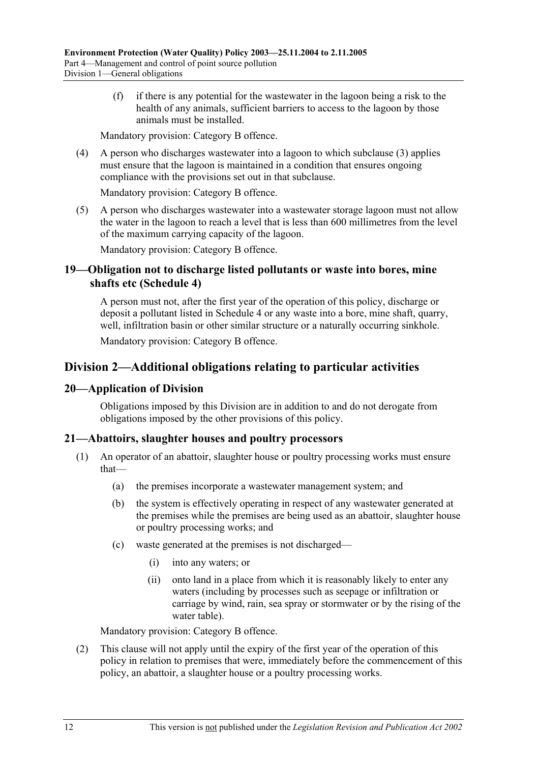(f) if there is any potential for the wastewater in the lagoon being a risk to the health of any animals, sufficient barriers to access to the lagoon by those animals must be installed.

Mandatory provision: Category B offence.

 (4) A person who discharges wastewater into a lagoon to which subclause (3) applies must ensure that the lagoon is maintained in a condition that ensures ongoing compliance with the provisions set out in that subclause.

Mandatory provision: Category B offence.

 (5) A person who discharges wastewater into a wastewater storage lagoon must not allow the water in the lagoon to reach a level that is less than 600 millimetres from the level of the maximum carrying capacity of the lagoon.

Mandatory provision: Category B offence.

### **19—Obligation not to discharge listed pollutants or waste into bores, mine shafts etc (Schedule 4)**

A person must not, after the first year of the operation of this policy, discharge or deposit a pollutant listed in Schedule 4 or any waste into a bore, mine shaft, quarry, well, infiltration basin or other similar structure or a naturally occurring sinkhole.

Mandatory provision: Category B offence.

## **Division 2—Additional obligations relating to particular activities**

#### **20—Application of Division**

Obligations imposed by this Division are in addition to and do not derogate from obligations imposed by the other provisions of this policy.

#### **21—Abattoirs, slaughter houses and poultry processors**

- (1) An operator of an abattoir, slaughter house or poultry processing works must ensure that—
	- (a) the premises incorporate a wastewater management system; and
	- (b) the system is effectively operating in respect of any wastewater generated at the premises while the premises are being used as an abattoir, slaughter house or poultry processing works; and
	- (c) waste generated at the premises is not discharged—
		- (i) into any waters; or
		- (ii) onto land in a place from which it is reasonably likely to enter any waters (including by processes such as seepage or infiltration or carriage by wind, rain, sea spray or stormwater or by the rising of the water table).

Mandatory provision: Category B offence.

 (2) This clause will not apply until the expiry of the first year of the operation of this policy in relation to premises that were, immediately before the commencement of this policy, an abattoir, a slaughter house or a poultry processing works.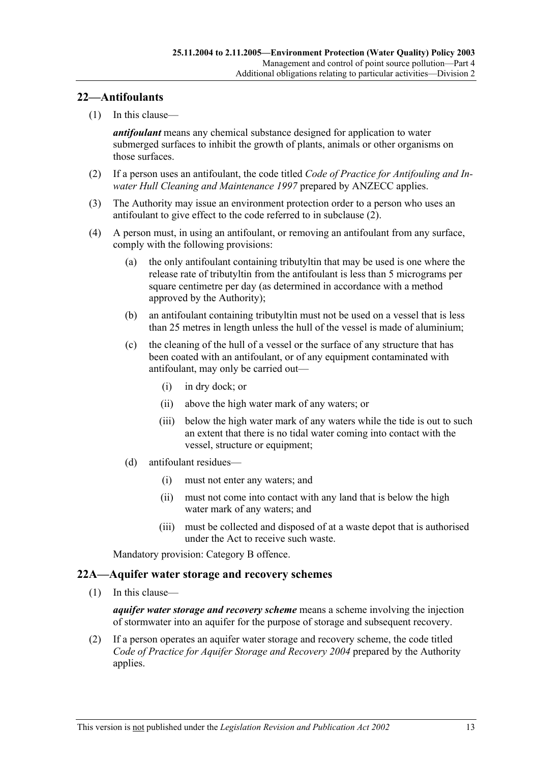### **22—Antifoulants**

(1) In this clause—

*antifoulant* means any chemical substance designed for application to water submerged surfaces to inhibit the growth of plants, animals or other organisms on those surfaces.

- (2) If a person uses an antifoulant, the code titled *Code of Practice for Antifouling and Inwater Hull Cleaning and Maintenance 1997* prepared by ANZECC applies.
- (3) The Authority may issue an environment protection order to a person who uses an antifoulant to give effect to the code referred to in subclause (2).
- (4) A person must, in using an antifoulant, or removing an antifoulant from any surface, comply with the following provisions:
	- (a) the only antifoulant containing tributyltin that may be used is one where the release rate of tributyltin from the antifoulant is less than 5 micrograms per square centimetre per day (as determined in accordance with a method approved by the Authority);
	- (b) an antifoulant containing tributyltin must not be used on a vessel that is less than 25 metres in length unless the hull of the vessel is made of aluminium;
	- (c) the cleaning of the hull of a vessel or the surface of any structure that has been coated with an antifoulant, or of any equipment contaminated with antifoulant, may only be carried out—
		- (i) in dry dock; or
		- (ii) above the high water mark of any waters; or
		- (iii) below the high water mark of any waters while the tide is out to such an extent that there is no tidal water coming into contact with the vessel, structure or equipment;
	- (d) antifoulant residues—
		- (i) must not enter any waters; and
		- (ii) must not come into contact with any land that is below the high water mark of any waters; and
		- (iii) must be collected and disposed of at a waste depot that is authorised under the Act to receive such waste.

Mandatory provision: Category B offence.

#### **22A—Aquifer water storage and recovery schemes**

(1) In this clause—

*aquifer water storage and recovery scheme* means a scheme involving the injection of stormwater into an aquifer for the purpose of storage and subsequent recovery.

 (2) If a person operates an aquifer water storage and recovery scheme, the code titled *Code of Practice for Aquifer Storage and Recovery 2004* prepared by the Authority applies.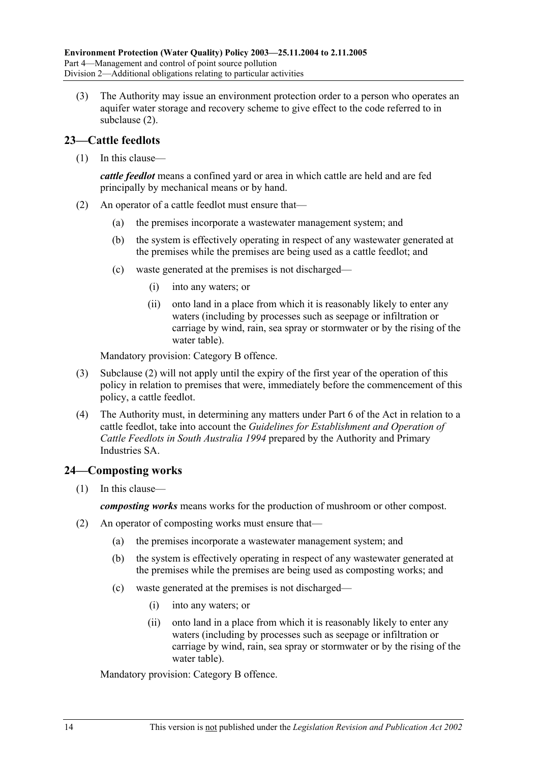(3) The Authority may issue an environment protection order to a person who operates an aquifer water storage and recovery scheme to give effect to the code referred to in subclause (2).

### **23—Cattle feedlots**

(1) In this clause—

*cattle feedlot* means a confined yard or area in which cattle are held and are fed principally by mechanical means or by hand.

- (2) An operator of a cattle feedlot must ensure that—
	- (a) the premises incorporate a wastewater management system; and
	- (b) the system is effectively operating in respect of any wastewater generated at the premises while the premises are being used as a cattle feedlot; and
	- (c) waste generated at the premises is not discharged—
		- (i) into any waters; or
		- (ii) onto land in a place from which it is reasonably likely to enter any waters (including by processes such as seepage or infiltration or carriage by wind, rain, sea spray or stormwater or by the rising of the water table).

Mandatory provision: Category B offence.

- (3) Subclause (2) will not apply until the expiry of the first year of the operation of this policy in relation to premises that were, immediately before the commencement of this policy, a cattle feedlot.
- (4) The Authority must, in determining any matters under Part 6 of the Act in relation to a cattle feedlot, take into account the *Guidelines for Establishment and Operation of Cattle Feedlots in South Australia 1994* prepared by the Authority and Primary Industries SA.

## **24—Composting works**

(1) In this clause—

*composting works* means works for the production of mushroom or other compost.

- (2) An operator of composting works must ensure that—
	- (a) the premises incorporate a wastewater management system; and
	- (b) the system is effectively operating in respect of any wastewater generated at the premises while the premises are being used as composting works; and
	- (c) waste generated at the premises is not discharged—
		- (i) into any waters; or
		- (ii) onto land in a place from which it is reasonably likely to enter any waters (including by processes such as seepage or infiltration or carriage by wind, rain, sea spray or stormwater or by the rising of the water table).

Mandatory provision: Category B offence.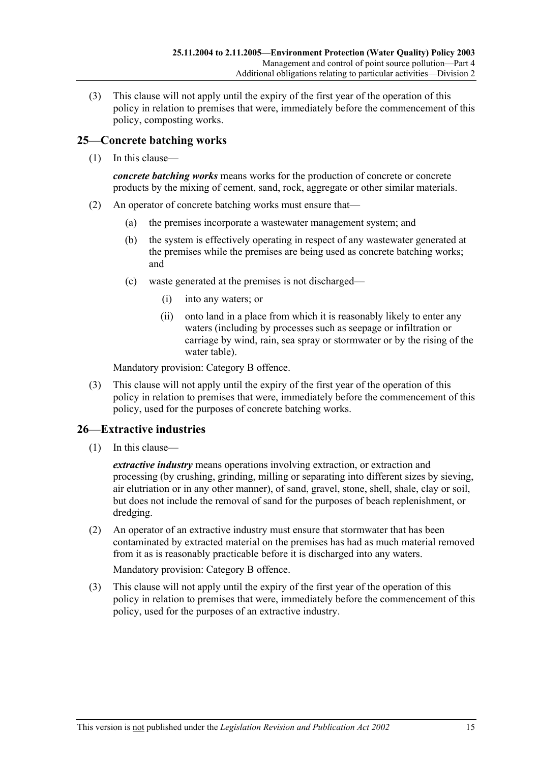(3) This clause will not apply until the expiry of the first year of the operation of this policy in relation to premises that were, immediately before the commencement of this policy, composting works.

### **25—Concrete batching works**

(1) In this clause—

*concrete batching works* means works for the production of concrete or concrete products by the mixing of cement, sand, rock, aggregate or other similar materials.

- (2) An operator of concrete batching works must ensure that—
	- (a) the premises incorporate a wastewater management system; and
	- (b) the system is effectively operating in respect of any wastewater generated at the premises while the premises are being used as concrete batching works; and
	- (c) waste generated at the premises is not discharged—
		- (i) into any waters; or
		- (ii) onto land in a place from which it is reasonably likely to enter any waters (including by processes such as seepage or infiltration or carriage by wind, rain, sea spray or stormwater or by the rising of the water table).

Mandatory provision: Category B offence.

 (3) This clause will not apply until the expiry of the first year of the operation of this policy in relation to premises that were, immediately before the commencement of this policy, used for the purposes of concrete batching works.

## **26—Extractive industries**

(1) In this clause—

*extractive industry* means operations involving extraction, or extraction and processing (by crushing, grinding, milling or separating into different sizes by sieving, air elutriation or in any other manner), of sand, gravel, stone, shell, shale, clay or soil, but does not include the removal of sand for the purposes of beach replenishment, or dredging.

 (2) An operator of an extractive industry must ensure that stormwater that has been contaminated by extracted material on the premises has had as much material removed from it as is reasonably practicable before it is discharged into any waters.

Mandatory provision: Category B offence.

 (3) This clause will not apply until the expiry of the first year of the operation of this policy in relation to premises that were, immediately before the commencement of this policy, used for the purposes of an extractive industry.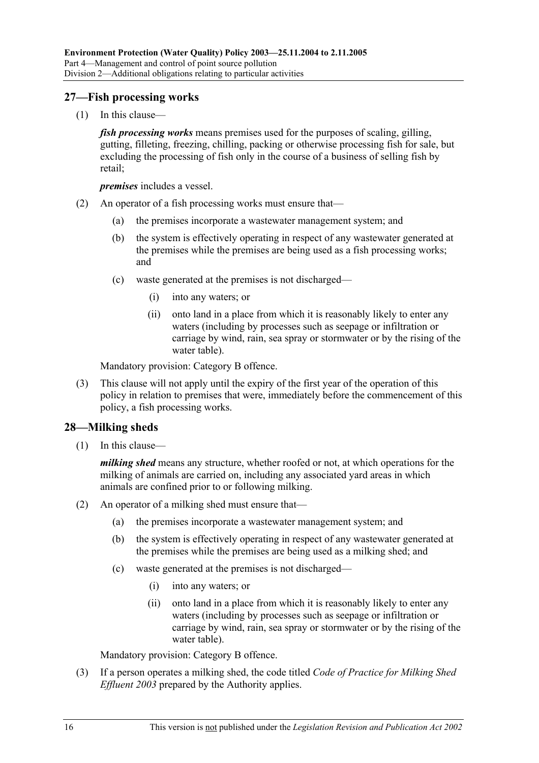#### **27—Fish processing works**

(1) In this clause—

*fish processing works* means premises used for the purposes of scaling, gilling, gutting, filleting, freezing, chilling, packing or otherwise processing fish for sale, but excluding the processing of fish only in the course of a business of selling fish by retail;

*premises* includes a vessel.

- (2) An operator of a fish processing works must ensure that—
	- (a) the premises incorporate a wastewater management system; and
	- (b) the system is effectively operating in respect of any wastewater generated at the premises while the premises are being used as a fish processing works; and
	- (c) waste generated at the premises is not discharged—
		- (i) into any waters; or
		- (ii) onto land in a place from which it is reasonably likely to enter any waters (including by processes such as seepage or infiltration or carriage by wind, rain, sea spray or stormwater or by the rising of the water table).

Mandatory provision: Category B offence.

 (3) This clause will not apply until the expiry of the first year of the operation of this policy in relation to premises that were, immediately before the commencement of this policy, a fish processing works.

#### **28—Milking sheds**

(1) In this clause—

*milking shed* means any structure, whether roofed or not, at which operations for the milking of animals are carried on, including any associated yard areas in which animals are confined prior to or following milking.

- (2) An operator of a milking shed must ensure that—
	- (a) the premises incorporate a wastewater management system; and
	- (b) the system is effectively operating in respect of any wastewater generated at the premises while the premises are being used as a milking shed; and
	- (c) waste generated at the premises is not discharged—
		- (i) into any waters; or
		- (ii) onto land in a place from which it is reasonably likely to enter any waters (including by processes such as seepage or infiltration or carriage by wind, rain, sea spray or stormwater or by the rising of the water table).

Mandatory provision: Category B offence.

 (3) If a person operates a milking shed, the code titled *Code of Practice for Milking Shed Effluent 2003* prepared by the Authority applies.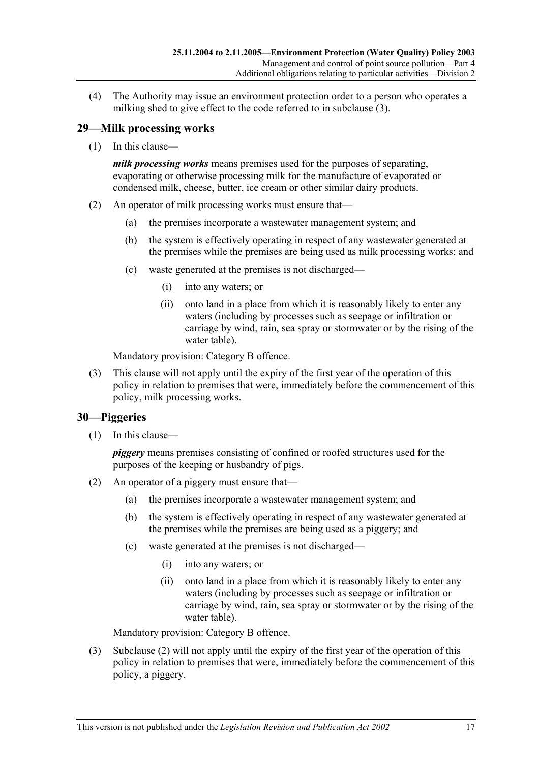(4) The Authority may issue an environment protection order to a person who operates a milking shed to give effect to the code referred to in subclause (3).

## **29—Milk processing works**

(1) In this clause—

*milk processing works* means premises used for the purposes of separating, evaporating or otherwise processing milk for the manufacture of evaporated or condensed milk, cheese, butter, ice cream or other similar dairy products.

- (2) An operator of milk processing works must ensure that—
	- (a) the premises incorporate a wastewater management system; and
	- (b) the system is effectively operating in respect of any wastewater generated at the premises while the premises are being used as milk processing works; and
	- (c) waste generated at the premises is not discharged—
		- (i) into any waters; or
		- (ii) onto land in a place from which it is reasonably likely to enter any waters (including by processes such as seepage or infiltration or carriage by wind, rain, sea spray or stormwater or by the rising of the water table).

Mandatory provision: Category B offence.

 (3) This clause will not apply until the expiry of the first year of the operation of this policy in relation to premises that were, immediately before the commencement of this policy, milk processing works.

## **30—Piggeries**

(1) In this clause—

*piggery* means premises consisting of confined or roofed structures used for the purposes of the keeping or husbandry of pigs.

- (2) An operator of a piggery must ensure that—
	- (a) the premises incorporate a wastewater management system; and
	- (b) the system is effectively operating in respect of any wastewater generated at the premises while the premises are being used as a piggery; and
	- (c) waste generated at the premises is not discharged—
		- (i) into any waters; or
		- (ii) onto land in a place from which it is reasonably likely to enter any waters (including by processes such as seepage or infiltration or carriage by wind, rain, sea spray or stormwater or by the rising of the water table).

Mandatory provision: Category B offence.

 (3) Subclause (2) will not apply until the expiry of the first year of the operation of this policy in relation to premises that were, immediately before the commencement of this policy, a piggery.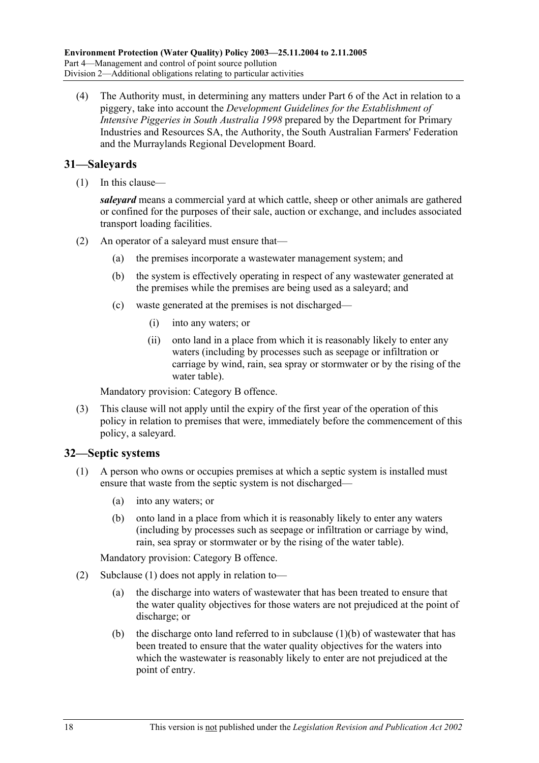(4) The Authority must, in determining any matters under Part 6 of the Act in relation to a piggery, take into account the *Development Guidelines for the Establishment of Intensive Piggeries in South Australia 1998* prepared by the Department for Primary Industries and Resources SA, the Authority, the South Australian Farmers' Federation and the Murraylands Regional Development Board.

### **31—Saleyards**

(1) In this clause—

*saleyard* means a commercial yard at which cattle, sheep or other animals are gathered or confined for the purposes of their sale, auction or exchange, and includes associated transport loading facilities.

- (2) An operator of a saleyard must ensure that—
	- (a) the premises incorporate a wastewater management system; and
	- (b) the system is effectively operating in respect of any wastewater generated at the premises while the premises are being used as a saleyard; and
	- (c) waste generated at the premises is not discharged—
		- (i) into any waters; or
		- (ii) onto land in a place from which it is reasonably likely to enter any waters (including by processes such as seepage or infiltration or carriage by wind, rain, sea spray or stormwater or by the rising of the water table).

Mandatory provision: Category B offence.

 (3) This clause will not apply until the expiry of the first year of the operation of this policy in relation to premises that were, immediately before the commencement of this policy, a saleyard.

#### **32—Septic systems**

- (1) A person who owns or occupies premises at which a septic system is installed must ensure that waste from the septic system is not discharged—
	- (a) into any waters; or
	- (b) onto land in a place from which it is reasonably likely to enter any waters (including by processes such as seepage or infiltration or carriage by wind, rain, sea spray or stormwater or by the rising of the water table).

Mandatory provision: Category B offence.

- (2) Subclause (1) does not apply in relation to—
	- (a) the discharge into waters of wastewater that has been treated to ensure that the water quality objectives for those waters are not prejudiced at the point of discharge; or
	- (b) the discharge onto land referred to in subclause  $(1)(b)$  of wastewater that has been treated to ensure that the water quality objectives for the waters into which the wastewater is reasonably likely to enter are not prejudiced at the point of entry.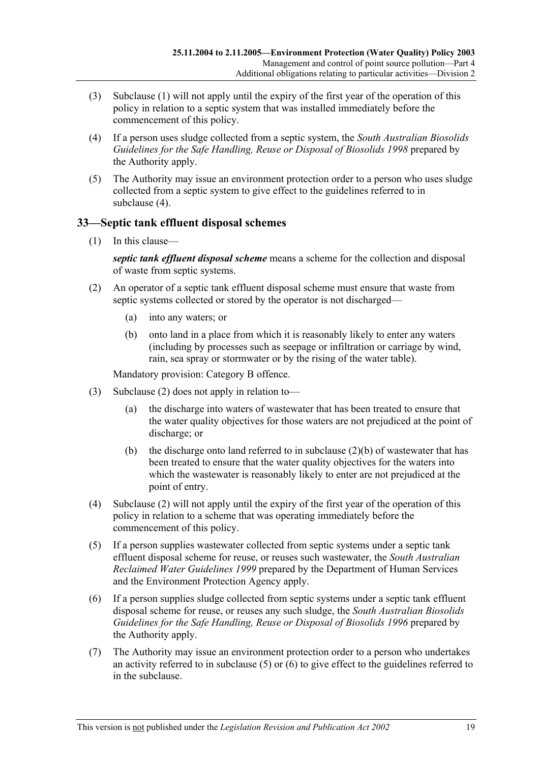- (3) Subclause (1) will not apply until the expiry of the first year of the operation of this policy in relation to a septic system that was installed immediately before the commencement of this policy.
- (4) If a person uses sludge collected from a septic system, the *South Australian Biosolids Guidelines for the Safe Handling, Reuse or Disposal of Biosolids 1998* prepared by the Authority apply.
- (5) The Authority may issue an environment protection order to a person who uses sludge collected from a septic system to give effect to the guidelines referred to in subclause (4).

### **33—Septic tank effluent disposal schemes**

(1) In this clause—

*septic tank effluent disposal scheme* means a scheme for the collection and disposal of waste from septic systems.

- (2) An operator of a septic tank effluent disposal scheme must ensure that waste from septic systems collected or stored by the operator is not discharged—
	- (a) into any waters; or
	- (b) onto land in a place from which it is reasonably likely to enter any waters (including by processes such as seepage or infiltration or carriage by wind, rain, sea spray or stormwater or by the rising of the water table).

Mandatory provision: Category B offence.

- (3) Subclause (2) does not apply in relation to—
	- (a) the discharge into waters of wastewater that has been treated to ensure that the water quality objectives for those waters are not prejudiced at the point of discharge; or
	- (b) the discharge onto land referred to in subclause  $(2)(b)$  of wastewater that has been treated to ensure that the water quality objectives for the waters into which the wastewater is reasonably likely to enter are not prejudiced at the point of entry.
- (4) Subclause (2) will not apply until the expiry of the first year of the operation of this policy in relation to a scheme that was operating immediately before the commencement of this policy.
- (5) If a person supplies wastewater collected from septic systems under a septic tank effluent disposal scheme for reuse, or reuses such wastewater, the *South Australian Reclaimed Water Guidelines 1999* prepared by the Department of Human Services and the Environment Protection Agency apply.
- (6) If a person supplies sludge collected from septic systems under a septic tank effluent disposal scheme for reuse, or reuses any such sludge, the *South Australian Biosolids Guidelines for the Safe Handling, Reuse or Disposal of Biosolids 1996* prepared by the Authority apply.
- (7) The Authority may issue an environment protection order to a person who undertakes an activity referred to in subclause (5) or (6) to give effect to the guidelines referred to in the subclause.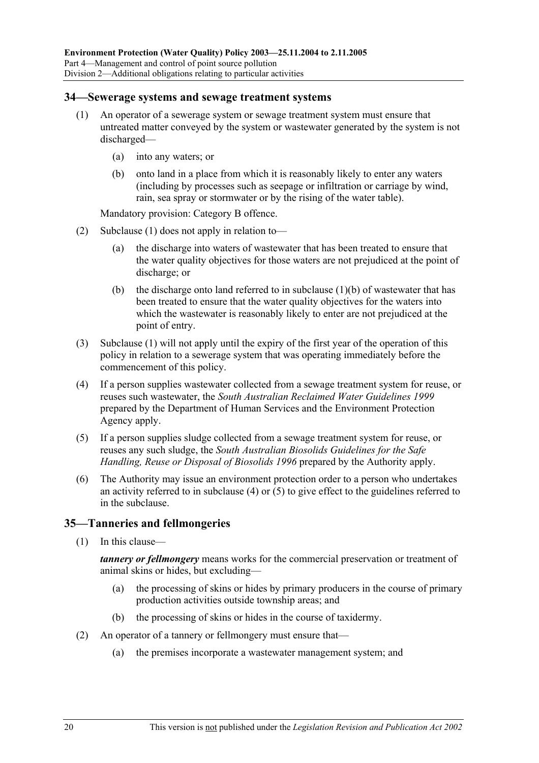#### **34—Sewerage systems and sewage treatment systems**

- (1) An operator of a sewerage system or sewage treatment system must ensure that untreated matter conveyed by the system or wastewater generated by the system is not discharged—
	- (a) into any waters; or
	- (b) onto land in a place from which it is reasonably likely to enter any waters (including by processes such as seepage or infiltration or carriage by wind, rain, sea spray or stormwater or by the rising of the water table).

Mandatory provision: Category B offence.

- (2) Subclause (1) does not apply in relation to—
	- (a) the discharge into waters of wastewater that has been treated to ensure that the water quality objectives for those waters are not prejudiced at the point of discharge; or
	- (b) the discharge onto land referred to in subclause  $(1)(b)$  of wastewater that has been treated to ensure that the water quality objectives for the waters into which the wastewater is reasonably likely to enter are not prejudiced at the point of entry.
- (3) Subclause (1) will not apply until the expiry of the first year of the operation of this policy in relation to a sewerage system that was operating immediately before the commencement of this policy.
- (4) If a person supplies wastewater collected from a sewage treatment system for reuse, or reuses such wastewater, the *South Australian Reclaimed Water Guidelines 1999* prepared by the Department of Human Services and the Environment Protection Agency apply.
- (5) If a person supplies sludge collected from a sewage treatment system for reuse, or reuses any such sludge, the *South Australian Biosolids Guidelines for the Safe Handling, Reuse or Disposal of Biosolids 1996* prepared by the Authority apply.
- (6) The Authority may issue an environment protection order to a person who undertakes an activity referred to in subclause (4) or  $(5)$  to give effect to the guidelines referred to in the subclause.

#### **35—Tanneries and fellmongeries**

(1) In this clause—

*tannery or fellmongery* means works for the commercial preservation or treatment of animal skins or hides, but excluding—

- (a) the processing of skins or hides by primary producers in the course of primary production activities outside township areas; and
- (b) the processing of skins or hides in the course of taxidermy.
- (2) An operator of a tannery or fellmongery must ensure that—
	- (a) the premises incorporate a wastewater management system; and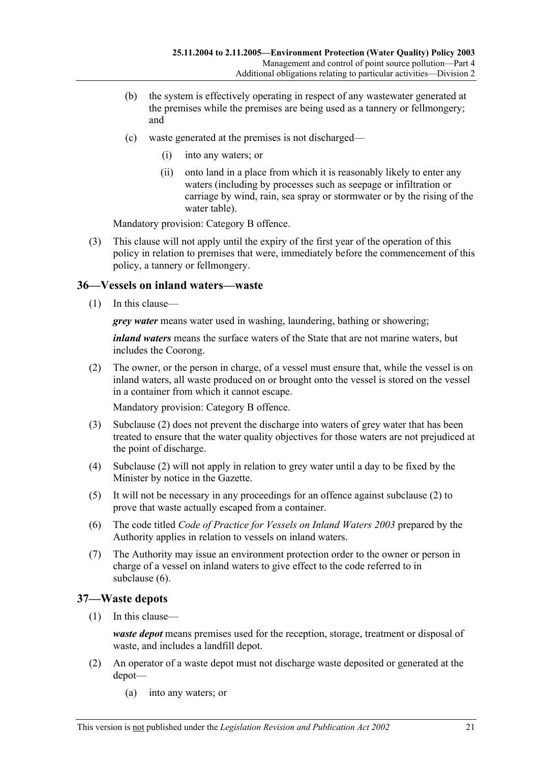- (b) the system is effectively operating in respect of any wastewater generated at the premises while the premises are being used as a tannery or fellmongery; and
- (c) waste generated at the premises is not discharged—
	- (i) into any waters; or
	- (ii) onto land in a place from which it is reasonably likely to enter any waters (including by processes such as seepage or infiltration or carriage by wind, rain, sea spray or stormwater or by the rising of the water table).

Mandatory provision: Category B offence.

 (3) This clause will not apply until the expiry of the first year of the operation of this policy in relation to premises that were, immediately before the commencement of this policy, a tannery or fellmongery.

#### **36—Vessels on inland waters—waste**

(1) In this clause—

*grey water* means water used in washing, laundering, bathing or showering;

*inland waters* means the surface waters of the State that are not marine waters, but includes the Coorong.

 (2) The owner, or the person in charge, of a vessel must ensure that, while the vessel is on inland waters, all waste produced on or brought onto the vessel is stored on the vessel in a container from which it cannot escape.

Mandatory provision: Category B offence.

- (3) Subclause (2) does not prevent the discharge into waters of grey water that has been treated to ensure that the water quality objectives for those waters are not prejudiced at the point of discharge.
- (4) Subclause (2) will not apply in relation to grey water until a day to be fixed by the Minister by notice in the Gazette.
- (5) It will not be necessary in any proceedings for an offence against subclause (2) to prove that waste actually escaped from a container.
- (6) The code titled *Code of Practice for Vessels on Inland Waters 2003* prepared by the Authority applies in relation to vessels on inland waters.
- (7) The Authority may issue an environment protection order to the owner or person in charge of a vessel on inland waters to give effect to the code referred to in subclause (6).

#### **37—Waste depots**

(1) In this clause—

*waste depot* means premises used for the reception, storage, treatment or disposal of waste, and includes a landfill depot.

- (2) An operator of a waste depot must not discharge waste deposited or generated at the depot—
	- (a) into any waters; or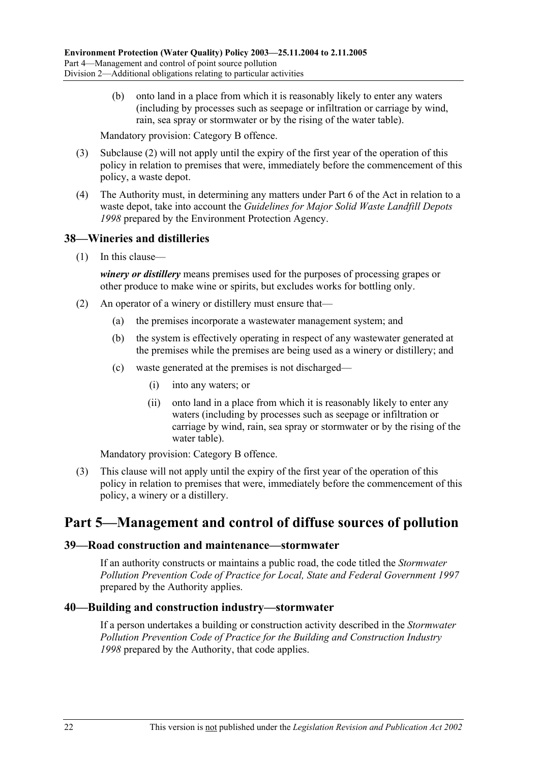(b) onto land in a place from which it is reasonably likely to enter any waters (including by processes such as seepage or infiltration or carriage by wind, rain, sea spray or stormwater or by the rising of the water table).

Mandatory provision: Category B offence.

- (3) Subclause (2) will not apply until the expiry of the first year of the operation of this policy in relation to premises that were, immediately before the commencement of this policy, a waste depot.
- (4) The Authority must, in determining any matters under Part 6 of the Act in relation to a waste depot, take into account the *Guidelines for Major Solid Waste Landfill Depots 1998* prepared by the Environment Protection Agency.

#### **38—Wineries and distilleries**

(1) In this clause—

*winery or distillery* means premises used for the purposes of processing grapes or other produce to make wine or spirits, but excludes works for bottling only.

- (2) An operator of a winery or distillery must ensure that—
	- (a) the premises incorporate a wastewater management system; and
	- (b) the system is effectively operating in respect of any wastewater generated at the premises while the premises are being used as a winery or distillery; and
	- (c) waste generated at the premises is not discharged—
		- (i) into any waters; or
		- (ii) onto land in a place from which it is reasonably likely to enter any waters (including by processes such as seepage or infiltration or carriage by wind, rain, sea spray or stormwater or by the rising of the water table).

Mandatory provision: Category B offence.

 (3) This clause will not apply until the expiry of the first year of the operation of this policy in relation to premises that were, immediately before the commencement of this policy, a winery or a distillery.

## **Part 5—Management and control of diffuse sources of pollution**

#### **39—Road construction and maintenance—stormwater**

If an authority constructs or maintains a public road, the code titled the *Stormwater Pollution Prevention Code of Practice for Local, State and Federal Government 1997* prepared by the Authority applies.

#### **40—Building and construction industry—stormwater**

If a person undertakes a building or construction activity described in the *Stormwater Pollution Prevention Code of Practice for the Building and Construction Industry 1998* prepared by the Authority, that code applies.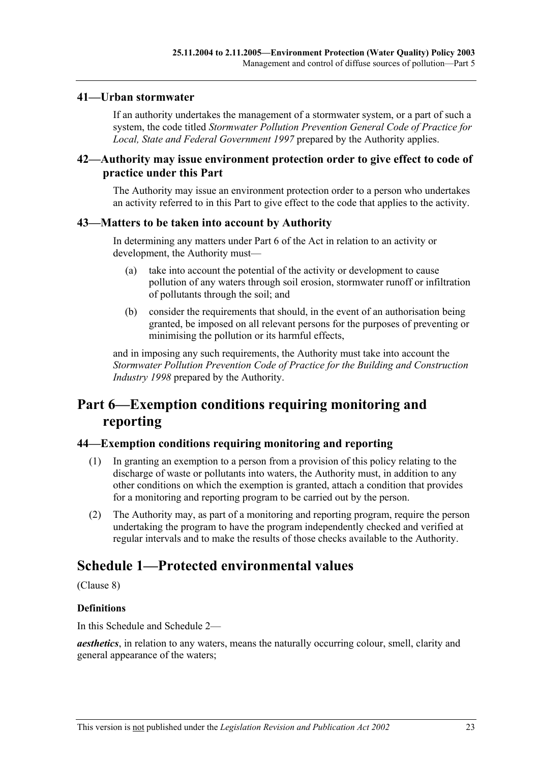#### **41—Urban stormwater**

If an authority undertakes the management of a stormwater system, or a part of such a system, the code titled *Stormwater Pollution Prevention General Code of Practice for Local, State and Federal Government 1997* prepared by the Authority applies.

#### **42—Authority may issue environment protection order to give effect to code of practice under this Part**

The Authority may issue an environment protection order to a person who undertakes an activity referred to in this Part to give effect to the code that applies to the activity.

#### **43—Matters to be taken into account by Authority**

In determining any matters under Part 6 of the Act in relation to an activity or development, the Authority must—

- (a) take into account the potential of the activity or development to cause pollution of any waters through soil erosion, stormwater runoff or infiltration of pollutants through the soil; and
- (b) consider the requirements that should, in the event of an authorisation being granted, be imposed on all relevant persons for the purposes of preventing or minimising the pollution or its harmful effects,

and in imposing any such requirements, the Authority must take into account the *Stormwater Pollution Prevention Code of Practice for the Building and Construction Industry 1998* prepared by the Authority.

## **Part 6—Exemption conditions requiring monitoring and reporting**

#### **44—Exemption conditions requiring monitoring and reporting**

- (1) In granting an exemption to a person from a provision of this policy relating to the discharge of waste or pollutants into waters, the Authority must, in addition to any other conditions on which the exemption is granted, attach a condition that provides for a monitoring and reporting program to be carried out by the person.
- (2) The Authority may, as part of a monitoring and reporting program, require the person undertaking the program to have the program independently checked and verified at regular intervals and to make the results of those checks available to the Authority.

## **Schedule 1—Protected environmental values**

(Clause 8)

#### **Definitions**

In this Schedule and Schedule 2—

*aesthetics*, in relation to any waters, means the naturally occurring colour, smell, clarity and general appearance of the waters;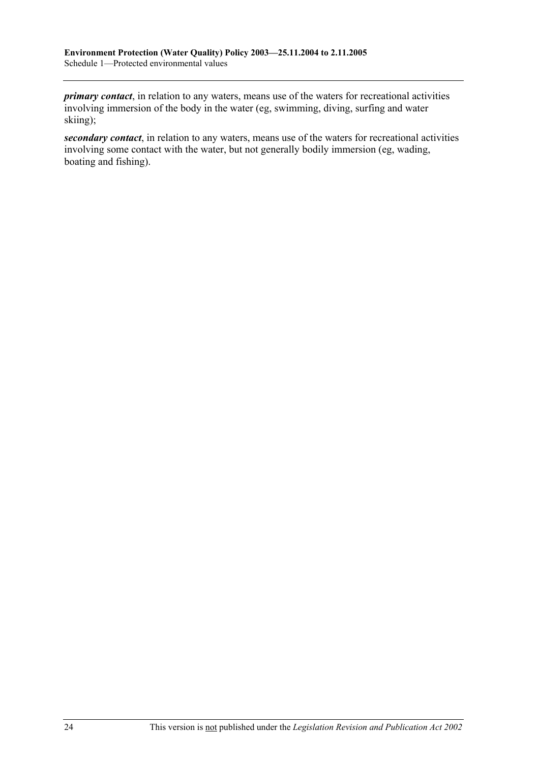*primary contact*, in relation to any waters, means use of the waters for recreational activities involving immersion of the body in the water (eg, swimming, diving, surfing and water skiing);

*secondary contact*, in relation to any waters, means use of the waters for recreational activities involving some contact with the water, but not generally bodily immersion (eg, wading, boating and fishing).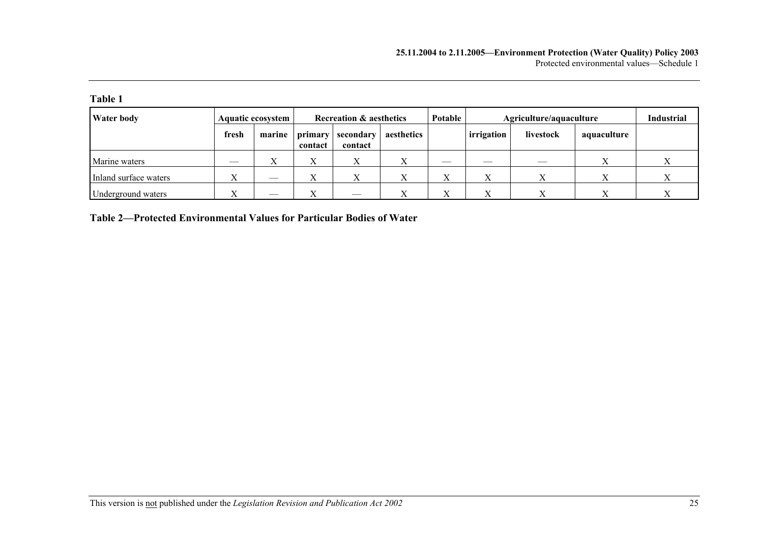| anı |  |
|-----|--|
|     |  |

| <b>Water body</b>     |                    | <b>Aquatic ecosystem</b>  | <b>Recreation &amp; aesthetics</b> |                      | Potable    |                     | Agriculture/aquaculture |           |             |  |
|-----------------------|--------------------|---------------------------|------------------------------------|----------------------|------------|---------------------|-------------------------|-----------|-------------|--|
|                       | fresh              | marine                    | primary<br>contact                 | secondary<br>contact | aesthetics |                     | irrigation              | livestock | aquaculture |  |
| Marine waters         |                    | $\mathbf{v}$<br>$\Lambda$ | X                                  |                      |            |                     |                         |           |             |  |
| Inland surface waters | $\Lambda$          |                           | $\mathbf{v}$<br>A                  |                      | ∡          | $\overline{f}$<br>△ |                         |           | △           |  |
| Underground waters    | $\mathbf{v}$<br>∡⊾ |                           | $\mathbf{v}$<br>A                  |                      |            | $\overline{f}$<br>л |                         |           | v           |  |

**Table 2—Protected Environmental Values for Particular Bodies of Water**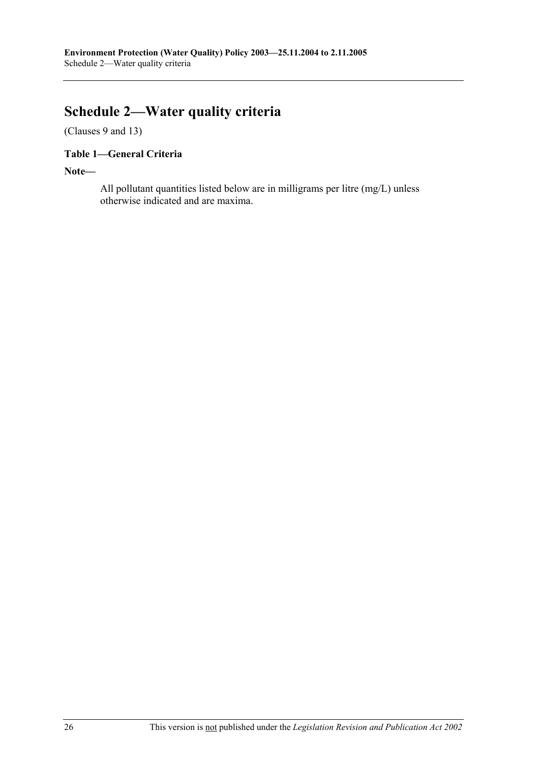# **Schedule 2—Water quality criteria**

(Clauses 9 and 13)

## **Table 1—General Criteria**

**Note—** 

All pollutant quantities listed below are in milligrams per litre (mg/L) unless otherwise indicated and are maxima.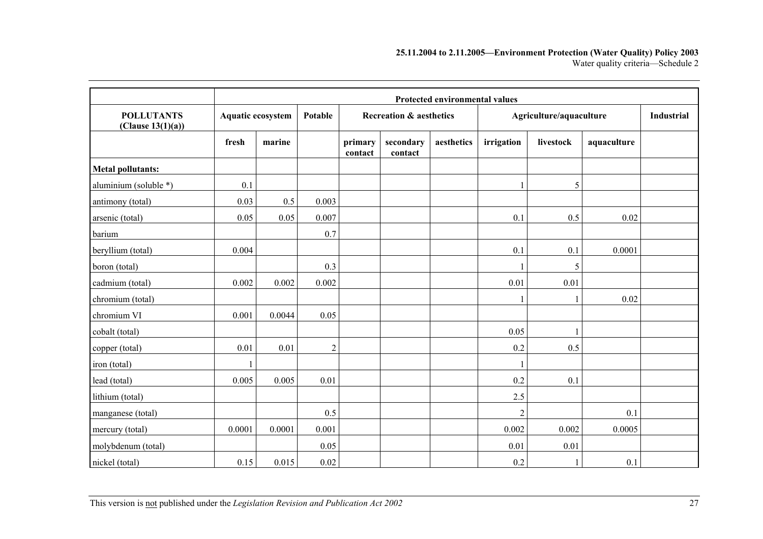#### **25.11.2004 to 2.11.2005—Environment Protection (Water Quality) Policy 2003**  Water quality criteria—Schedule 2

|                                        |        | Protected environmental values |            |                    |                                    |            |                |                         |             |  |  |  |  |  |  |
|----------------------------------------|--------|--------------------------------|------------|--------------------|------------------------------------|------------|----------------|-------------------------|-------------|--|--|--|--|--|--|
| <b>POLLUTANTS</b><br>(Clause 13(1)(a)) |        | Aquatic ecosystem              |            |                    | <b>Recreation &amp; aesthetics</b> |            |                | Agriculture/aquaculture |             |  |  |  |  |  |  |
|                                        | fresh  | marine                         |            | primary<br>contact | secondary<br>contact               | aesthetics | irrigation     | livestock               | aquaculture |  |  |  |  |  |  |
| <b>Metal pollutants:</b>               |        |                                |            |                    |                                    |            |                |                         |             |  |  |  |  |  |  |
| aluminium (soluble *)                  | 0.1    |                                |            |                    |                                    |            |                | 5                       |             |  |  |  |  |  |  |
| antimony (total)                       | 0.03   | 0.5                            | 0.003      |                    |                                    |            |                |                         |             |  |  |  |  |  |  |
| arsenic (total)                        | 0.05   | 0.05                           | 0.007      |                    |                                    |            | 0.1            | 0.5                     | 0.02        |  |  |  |  |  |  |
| barium                                 |        |                                | 0.7        |                    |                                    |            |                |                         |             |  |  |  |  |  |  |
| beryllium (total)                      | 0.004  |                                |            |                    |                                    |            | 0.1            | 0.1                     | 0.0001      |  |  |  |  |  |  |
| boron (total)                          |        |                                | 0.3        |                    |                                    |            |                | 5                       |             |  |  |  |  |  |  |
| cadmium (total)                        | 0.002  | 0.002                          | 0.002      |                    |                                    |            | 0.01           | 0.01                    |             |  |  |  |  |  |  |
| chromium (total)                       |        |                                |            |                    |                                    |            |                |                         | 0.02        |  |  |  |  |  |  |
| chromium VI                            | 0.001  | 0.0044                         | 0.05       |                    |                                    |            |                |                         |             |  |  |  |  |  |  |
| cobalt (total)                         |        |                                |            |                    |                                    |            | 0.05           |                         |             |  |  |  |  |  |  |
| copper (total)                         | 0.01   | 0.01                           | $\sqrt{2}$ |                    |                                    |            | 0.2            | 0.5                     |             |  |  |  |  |  |  |
| iron (total)                           |        |                                |            |                    |                                    |            |                |                         |             |  |  |  |  |  |  |
| lead (total)                           | 0.005  | 0.005                          | 0.01       |                    |                                    |            | 0.2            | 0.1                     |             |  |  |  |  |  |  |
| lithium (total)                        |        |                                |            |                    |                                    |            | 2.5            |                         |             |  |  |  |  |  |  |
| manganese (total)                      |        |                                | 0.5        |                    |                                    |            | $\overline{2}$ |                         | 0.1         |  |  |  |  |  |  |
| mercury (total)                        | 0.0001 | 0.0001                         | 0.001      |                    |                                    |            | 0.002          | 0.002                   | 0.0005      |  |  |  |  |  |  |
| molybdenum (total)                     |        |                                | 0.05       |                    |                                    |            | 0.01           | 0.01                    |             |  |  |  |  |  |  |
| nickel (total)                         | 0.15   | 0.015                          | 0.02       |                    |                                    |            | 0.2            | 1                       | 0.1         |  |  |  |  |  |  |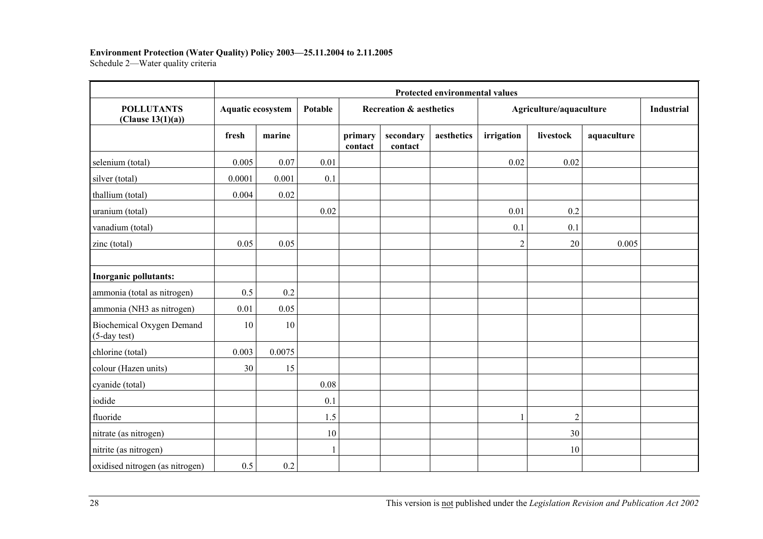### **Environment Protection (Water Quality) Policy 2003—25.11.2004 to 2.11.2005**

Schedule 2—Water quality criteria

|                                           | Protected environmental values |        |              |                    |                                    |            |                |                         |             |  |  |
|-------------------------------------------|--------------------------------|--------|--------------|--------------------|------------------------------------|------------|----------------|-------------------------|-------------|--|--|
| <b>POLLUTANTS</b><br>(Clause 13(1)(a))    | Aquatic ecosystem              |        | Potable      |                    | <b>Recreation &amp; aesthetics</b> |            |                | Agriculture/aquaculture |             |  |  |
|                                           | fresh                          | marine |              | primary<br>contact | secondary<br>contact               | aesthetics | irrigation     | livestock               | aquaculture |  |  |
| selenium (total)                          | 0.005                          | 0.07   | 0.01         |                    |                                    |            | 0.02           | 0.02                    |             |  |  |
| silver (total)                            | 0.0001                         | 0.001  | 0.1          |                    |                                    |            |                |                         |             |  |  |
| thallium (total)                          | 0.004                          | 0.02   |              |                    |                                    |            |                |                         |             |  |  |
| uranium (total)                           |                                |        | 0.02         |                    |                                    |            | 0.01           | 0.2                     |             |  |  |
| vanadium (total)                          |                                |        |              |                    |                                    |            | 0.1            | 0.1                     |             |  |  |
| zinc (total)                              | 0.05                           | 0.05   |              |                    |                                    |            | $\overline{2}$ | 20                      | 0.005       |  |  |
| Inorganic pollutants:                     |                                |        |              |                    |                                    |            |                |                         |             |  |  |
| ammonia (total as nitrogen)               | 0.5                            | 0.2    |              |                    |                                    |            |                |                         |             |  |  |
| ammonia (NH3 as nitrogen)                 | 0.01                           | 0.05   |              |                    |                                    |            |                |                         |             |  |  |
| Biochemical Oxygen Demand<br>(5-day test) | 10                             | 10     |              |                    |                                    |            |                |                         |             |  |  |
| chlorine (total)                          | 0.003                          | 0.0075 |              |                    |                                    |            |                |                         |             |  |  |
| colour (Hazen units)                      | 30                             | 15     |              |                    |                                    |            |                |                         |             |  |  |
| cyanide (total)                           |                                |        | 0.08         |                    |                                    |            |                |                         |             |  |  |
| iodide                                    |                                |        | 0.1          |                    |                                    |            |                |                         |             |  |  |
| fluoride                                  |                                |        | 1.5          |                    |                                    |            | 1              | $\overline{2}$          |             |  |  |
| nitrate (as nitrogen)                     |                                |        | 10           |                    |                                    |            |                | 30                      |             |  |  |
| nitrite (as nitrogen)                     |                                |        | $\mathbf{1}$ |                    |                                    |            |                | 10                      |             |  |  |
| oxidised nitrogen (as nitrogen)           | 0.5                            | 0.2    |              |                    |                                    |            |                |                         |             |  |  |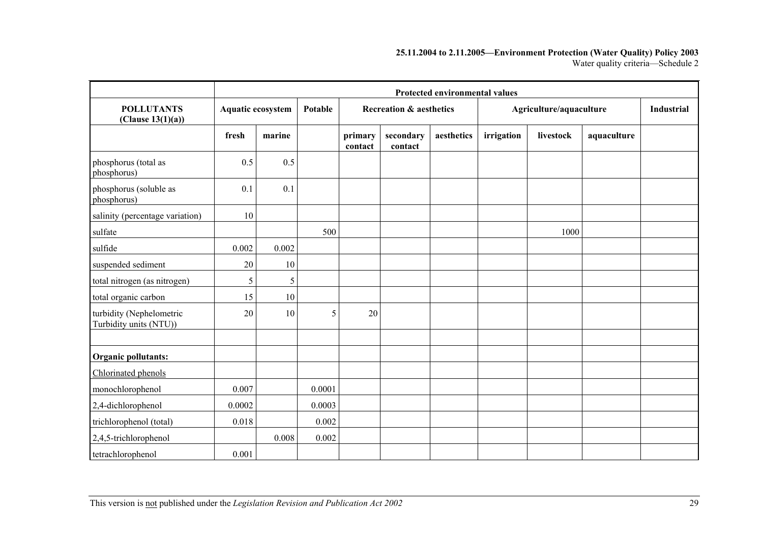#### **25.11.2004 to 2.11.2005—Environment Protection (Water Quality) Policy 2003**  Water quality criteria—Schedule 2

|                                                    |        | <b>Protected environmental values</b> |                |                    |                                    |            |            |                         |             |                   |  |
|----------------------------------------------------|--------|---------------------------------------|----------------|--------------------|------------------------------------|------------|------------|-------------------------|-------------|-------------------|--|
| <b>POLLUTANTS</b><br>(Clause $13(1)(a)$ )          |        | Aquatic ecosystem                     | <b>Potable</b> |                    | <b>Recreation &amp; aesthetics</b> |            |            | Agriculture/aquaculture |             | <b>Industrial</b> |  |
|                                                    | fresh  | marine                                |                | primary<br>contact | secondary<br>contact               | aesthetics | irrigation | livestock               | aquaculture |                   |  |
| phosphorus (total as<br>phosphorus)                | 0.5    | 0.5                                   |                |                    |                                    |            |            |                         |             |                   |  |
| phosphorus (soluble as<br>phosphorus)              | 0.1    | 0.1                                   |                |                    |                                    |            |            |                         |             |                   |  |
| salinity (percentage variation)                    | 10     |                                       |                |                    |                                    |            |            |                         |             |                   |  |
| sulfate                                            |        |                                       | 500            |                    |                                    |            |            | 1000                    |             |                   |  |
| sulfide                                            | 0.002  | 0.002                                 |                |                    |                                    |            |            |                         |             |                   |  |
| suspended sediment                                 | 20     | 10                                    |                |                    |                                    |            |            |                         |             |                   |  |
| total nitrogen (as nitrogen)                       | 5      | 5                                     |                |                    |                                    |            |            |                         |             |                   |  |
| total organic carbon                               | 15     | 10                                    |                |                    |                                    |            |            |                         |             |                   |  |
| turbidity (Nephelometric<br>Turbidity units (NTU)) | 20     | 10                                    | 5              | 20                 |                                    |            |            |                         |             |                   |  |
|                                                    |        |                                       |                |                    |                                    |            |            |                         |             |                   |  |
| Organic pollutants:                                |        |                                       |                |                    |                                    |            |            |                         |             |                   |  |
| Chlorinated phenols                                |        |                                       |                |                    |                                    |            |            |                         |             |                   |  |
| monochlorophenol                                   | 0.007  |                                       | 0.0001         |                    |                                    |            |            |                         |             |                   |  |
| 2,4-dichlorophenol                                 | 0.0002 |                                       | 0.0003         |                    |                                    |            |            |                         |             |                   |  |
| trichlorophenol (total)                            | 0.018  |                                       | 0.002          |                    |                                    |            |            |                         |             |                   |  |
| 2,4,5-trichlorophenol                              |        | 0.008                                 | 0.002          |                    |                                    |            |            |                         |             |                   |  |
| tetrachlorophenol                                  | 0.001  |                                       |                |                    |                                    |            |            |                         |             |                   |  |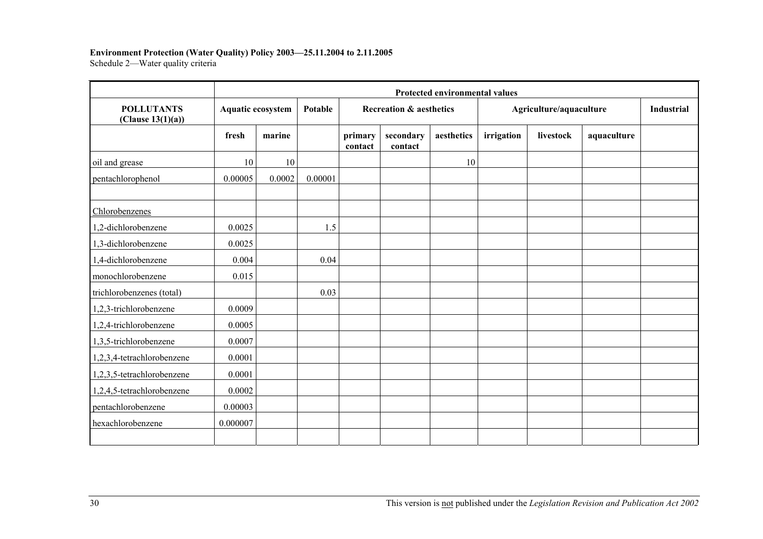### **Environment Protection (Water Quality) Policy 2003—25.11.2004 to 2.11.2005**

Schedule 2—Water quality criteria

|                                           | Protected environmental values |        |         |                    |                                    |            |            |                         |             |  |  |
|-------------------------------------------|--------------------------------|--------|---------|--------------------|------------------------------------|------------|------------|-------------------------|-------------|--|--|
| <b>POLLUTANTS</b><br>(Clause $13(1)(a)$ ) | <b>Aquatic ecosystem</b>       |        | Potable |                    | <b>Recreation &amp; aesthetics</b> |            |            | Agriculture/aquaculture |             |  |  |
|                                           | fresh                          | marine |         | primary<br>contact | secondary<br>contact               | aesthetics | irrigation | livestock               | aquaculture |  |  |
| oil and grease                            | 10                             | 10     |         |                    |                                    | 10         |            |                         |             |  |  |
| pentachlorophenol                         | 0.00005                        | 0.0002 | 0.00001 |                    |                                    |            |            |                         |             |  |  |
| Chlorobenzenes                            |                                |        |         |                    |                                    |            |            |                         |             |  |  |
| 1,2-dichlorobenzene                       | 0.0025                         |        | 1.5     |                    |                                    |            |            |                         |             |  |  |
| 1,3-dichlorobenzene                       | 0.0025                         |        |         |                    |                                    |            |            |                         |             |  |  |
| 1,4-dichlorobenzene                       | 0.004                          |        | 0.04    |                    |                                    |            |            |                         |             |  |  |
| monochlorobenzene                         | 0.015                          |        |         |                    |                                    |            |            |                         |             |  |  |
| trichlorobenzenes (total)                 |                                |        | 0.03    |                    |                                    |            |            |                         |             |  |  |
| 1,2,3-trichlorobenzene                    | 0.0009                         |        |         |                    |                                    |            |            |                         |             |  |  |
| 1,2,4-trichlorobenzene                    | 0.0005                         |        |         |                    |                                    |            |            |                         |             |  |  |
| 1,3,5-trichlorobenzene                    | 0.0007                         |        |         |                    |                                    |            |            |                         |             |  |  |
| 1,2,3,4-tetrachlorobenzene                | 0.0001                         |        |         |                    |                                    |            |            |                         |             |  |  |
| 1,2,3,5-tetrachlorobenzene                | 0.0001                         |        |         |                    |                                    |            |            |                         |             |  |  |
| 1,2,4,5-tetrachlorobenzene                | 0.0002                         |        |         |                    |                                    |            |            |                         |             |  |  |
| pentachlorobenzene                        | 0.00003                        |        |         |                    |                                    |            |            |                         |             |  |  |
| hexachlorobenzene                         | 0.000007                       |        |         |                    |                                    |            |            |                         |             |  |  |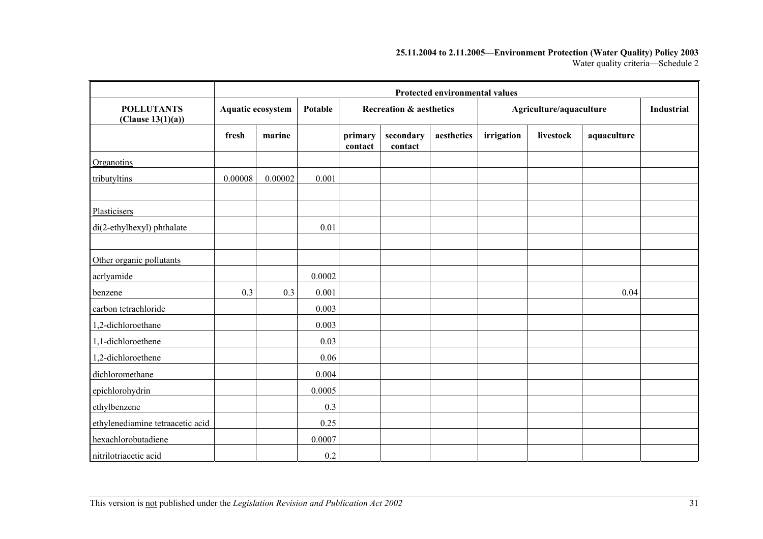#### **25.11.2004 to 2.11.2005—Environment Protection (Water Quality) Policy 2003**  Water quality criteria—Schedule 2

|                                        | Protected environmental values |                   |         |                    |                                    |            |            |                         |             |                   |
|----------------------------------------|--------------------------------|-------------------|---------|--------------------|------------------------------------|------------|------------|-------------------------|-------------|-------------------|
| <b>POLLUTANTS</b><br>(Clause 13(1)(a)) |                                | Aquatic ecosystem | Potable |                    | <b>Recreation &amp; aesthetics</b> |            |            | Agriculture/aquaculture |             | <b>Industrial</b> |
|                                        | fresh                          | marine            |         | primary<br>contact | secondary<br>contact               | aesthetics | irrigation | livestock               | aquaculture |                   |
| Organotins                             |                                |                   |         |                    |                                    |            |            |                         |             |                   |
| tributyltins                           | 0.00008                        | 0.00002           | 0.001   |                    |                                    |            |            |                         |             |                   |
|                                        |                                |                   |         |                    |                                    |            |            |                         |             |                   |
| Plasticisers                           |                                |                   |         |                    |                                    |            |            |                         |             |                   |
| di(2-ethylhexyl) phthalate             |                                |                   | 0.01    |                    |                                    |            |            |                         |             |                   |
|                                        |                                |                   |         |                    |                                    |            |            |                         |             |                   |
| Other organic pollutants               |                                |                   |         |                    |                                    |            |            |                         |             |                   |
| acrlyamide                             |                                |                   | 0.0002  |                    |                                    |            |            |                         |             |                   |
| benzene                                | 0.3                            | 0.3               | 0.001   |                    |                                    |            |            |                         | 0.04        |                   |
| carbon tetrachloride                   |                                |                   | 0.003   |                    |                                    |            |            |                         |             |                   |
| 1,2-dichloroethane                     |                                |                   | 0.003   |                    |                                    |            |            |                         |             |                   |
| 1,1-dichloroethene                     |                                |                   | 0.03    |                    |                                    |            |            |                         |             |                   |
| 1,2-dichloroethene                     |                                |                   | 0.06    |                    |                                    |            |            |                         |             |                   |
| dichloromethane                        |                                |                   | 0.004   |                    |                                    |            |            |                         |             |                   |
| epichlorohydrin                        |                                |                   | 0.0005  |                    |                                    |            |            |                         |             |                   |
| ethylbenzene                           |                                |                   | 0.3     |                    |                                    |            |            |                         |             |                   |
| ethylenediamine tetraacetic acid       |                                |                   | 0.25    |                    |                                    |            |            |                         |             |                   |
| hexachlorobutadiene                    |                                |                   | 0.0007  |                    |                                    |            |            |                         |             |                   |
| nitrilotriacetic acid                  |                                |                   | 0.2     |                    |                                    |            |            |                         |             |                   |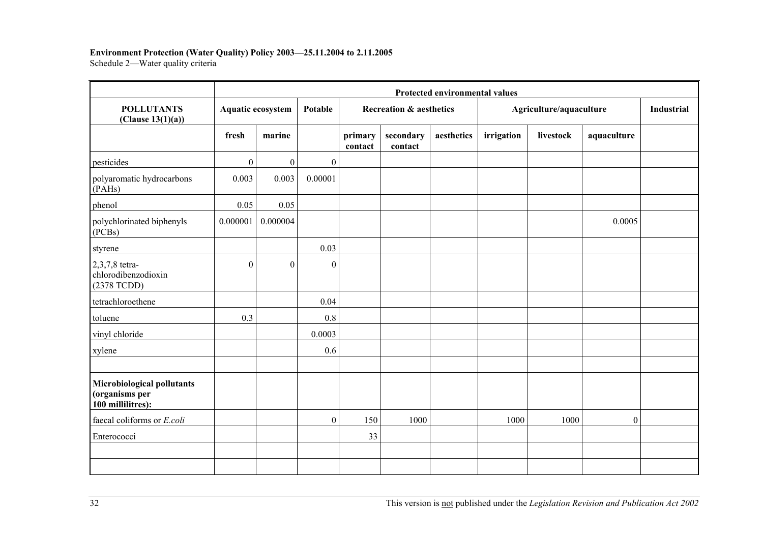#### **Environment Protection (Water Quality) Policy 2003—25.11.2004 to 2.11.2005**

Schedule 2—Water quality criteria

|                                                                   | Protected environmental values |                   |                  |                    |                                    |            |            |                         |             |  |  |
|-------------------------------------------------------------------|--------------------------------|-------------------|------------------|--------------------|------------------------------------|------------|------------|-------------------------|-------------|--|--|
| <b>POLLUTANTS</b><br>(Clause $13(1)(a)$ )                         |                                | Aquatic ecosystem | Potable          |                    | <b>Recreation &amp; aesthetics</b> |            |            | Agriculture/aquaculture |             |  |  |
|                                                                   | fresh                          | marine            |                  | primary<br>contact | secondary<br>contact               | aesthetics | irrigation | livestock               | aquaculture |  |  |
| pesticides                                                        | $\boldsymbol{0}$               | $\boldsymbol{0}$  | $\boldsymbol{0}$ |                    |                                    |            |            |                         |             |  |  |
| polyaromatic hydrocarbons<br>(PAHs)                               | 0.003                          | 0.003             | 0.00001          |                    |                                    |            |            |                         |             |  |  |
| phenol                                                            | 0.05                           | 0.05              |                  |                    |                                    |            |            |                         |             |  |  |
| polychlorinated biphenyls<br>(PCBs)                               | 0.000001                       | 0.000004          |                  |                    |                                    |            |            |                         | 0.0005      |  |  |
| styrene                                                           |                                |                   | 0.03             |                    |                                    |            |            |                         |             |  |  |
| 2,3,7,8 tetra-<br>chlorodibenzodioxin<br>(2378 TCDD)              | $\Omega$                       | $\mathbf{0}$      | $\theta$         |                    |                                    |            |            |                         |             |  |  |
| tetrachloroethene                                                 |                                |                   | 0.04             |                    |                                    |            |            |                         |             |  |  |
| toluene                                                           | 0.3                            |                   | 0.8              |                    |                                    |            |            |                         |             |  |  |
| vinyl chloride                                                    |                                |                   | 0.0003           |                    |                                    |            |            |                         |             |  |  |
| xylene                                                            |                                |                   | 0.6              |                    |                                    |            |            |                         |             |  |  |
| Microbiological pollutants<br>(organisms per<br>100 millilitres): |                                |                   |                  |                    |                                    |            |            |                         |             |  |  |
| faecal coliforms or E.coli                                        |                                |                   | $\overline{0}$   | 150                | 1000                               |            | 1000       | 1000                    | $\theta$    |  |  |
| Enterococci                                                       |                                |                   |                  | 33                 |                                    |            |            |                         |             |  |  |
|                                                                   |                                |                   |                  |                    |                                    |            |            |                         |             |  |  |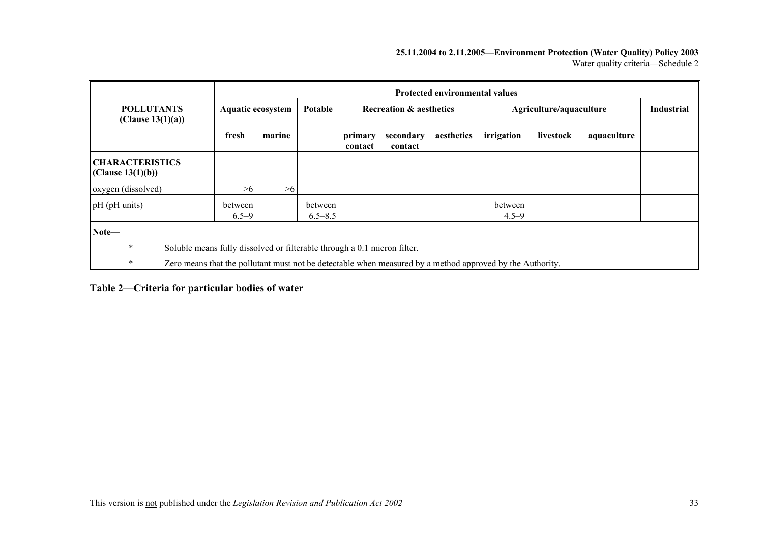#### **25.11.2004 to 2.11.2005—Environment Protection (Water Quality) Policy 2003**  Water quality criteria—Schedule 2

|                                                                                                                                                                                                                    |                      | Protected environmental values |                        |                    |                                    |            |                         |                   |             |  |
|--------------------------------------------------------------------------------------------------------------------------------------------------------------------------------------------------------------------|----------------------|--------------------------------|------------------------|--------------------|------------------------------------|------------|-------------------------|-------------------|-------------|--|
| <b>POLLUTANTS</b><br>(Clause $13(1)(a)$ )                                                                                                                                                                          | Aquatic ecosystem    |                                | Potable                |                    | <b>Recreation &amp; aesthetics</b> |            | Agriculture/aquaculture | <b>Industrial</b> |             |  |
|                                                                                                                                                                                                                    | fresh                | marine                         |                        | primary<br>contact | secondary<br>contact               | aesthetics | irrigation              | livestock         | aquaculture |  |
| <b>CHARACTERISTICS</b><br>(Clause 13(1)(b))                                                                                                                                                                        |                      |                                |                        |                    |                                    |            |                         |                   |             |  |
| oxygen (dissolved)                                                                                                                                                                                                 | >6                   | >6                             |                        |                    |                                    |            |                         |                   |             |  |
| pH (pH units)                                                                                                                                                                                                      | between<br>$6.5 - 9$ |                                | between<br>$6.5 - 8.5$ |                    |                                    |            | between<br>$4.5 - 9$    |                   |             |  |
| Note-<br>$\ast$<br>Soluble means fully dissolved or filterable through a 0.1 micron filter.<br>$\ast$<br>Zero means that the pollutant must not be detectable when measured by a method approved by the Authority. |                      |                                |                        |                    |                                    |            |                         |                   |             |  |

**Table 2—Criteria for particular bodies of water**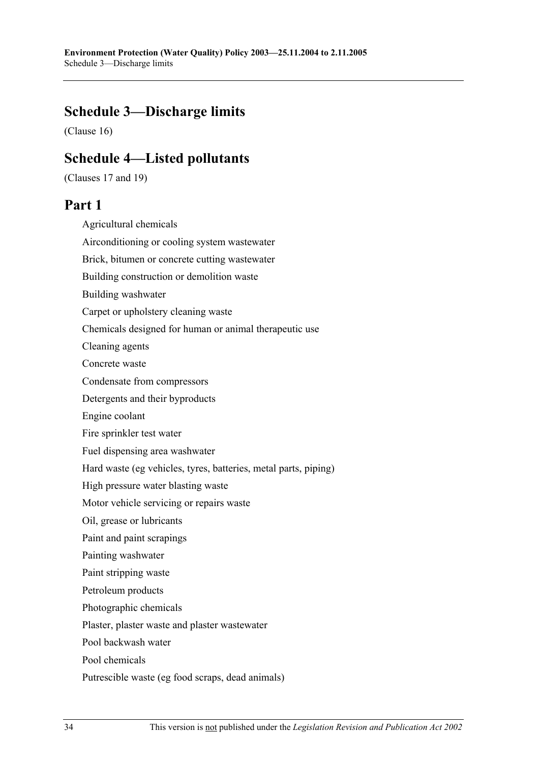## **Schedule 3—Discharge limits**

(Clause 16)

## **Schedule 4—Listed pollutants**

(Clauses 17 and 19)

## **Part 1**

Agricultural chemicals Airconditioning or cooling system wastewater Brick, bitumen or concrete cutting wastewater Building construction or demolition waste Building washwater Carpet or upholstery cleaning waste Chemicals designed for human or animal therapeutic use Cleaning agents Concrete waste Condensate from compressors Detergents and their byproducts Engine coolant Fire sprinkler test water Fuel dispensing area washwater Hard waste (eg vehicles, tyres, batteries, metal parts, piping) High pressure water blasting waste Motor vehicle servicing or repairs waste Oil, grease or lubricants Paint and paint scrapings Painting washwater Paint stripping waste Petroleum products Photographic chemicals Plaster, plaster waste and plaster wastewater Pool backwash water Pool chemicals Putrescible waste (eg food scraps, dead animals)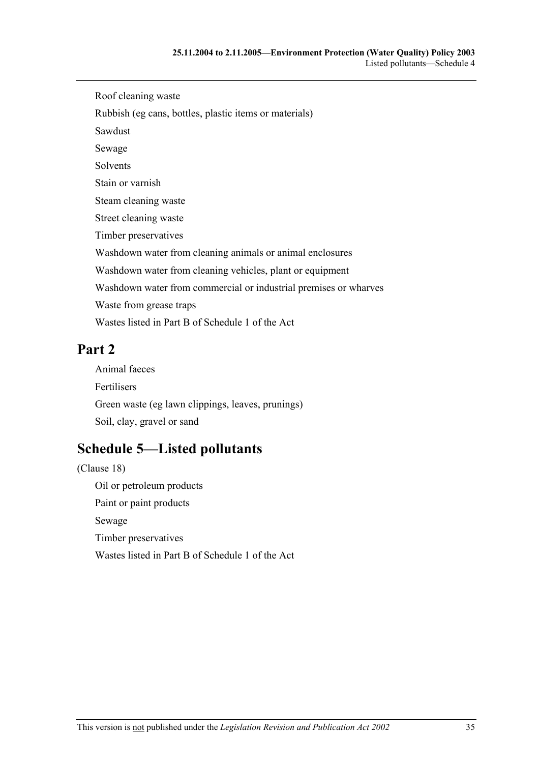Roof cleaning waste Rubbish (eg cans, bottles, plastic items or materials) Sawdust Sewage Solvents Stain or varnish Steam cleaning waste Street cleaning waste Timber preservatives Washdown water from cleaning animals or animal enclosures Washdown water from cleaning vehicles, plant or equipment Washdown water from commercial or industrial premises or wharves Waste from grease traps Wastes listed in Part B of Schedule 1 of the Act

## **Part 2**

Animal faeces Fertilisers Green waste (eg lawn clippings, leaves, prunings) Soil, clay, gravel or sand

# **Schedule 5—Listed pollutants**

(Clause 18) Oil or petroleum products Paint or paint products Sewage Timber preservatives Wastes listed in Part B of Schedule 1 of the Act